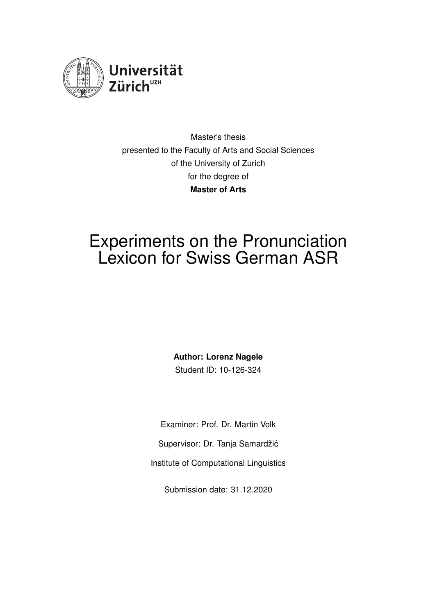

Master's thesis presented to the Faculty of Arts and Social Sciences of the University of Zurich for the degree of **Master of Arts**

# Experiments on the Pronunciation Lexicon for Swiss German ASR

**Author: Lorenz Nagele** Student ID: 10-126-324

Examiner: Prof. Dr. Martin Volk Supervisor: Dr. Tanja Samardžić Institute of Computational Linguistics

Submission date: 31.12.2020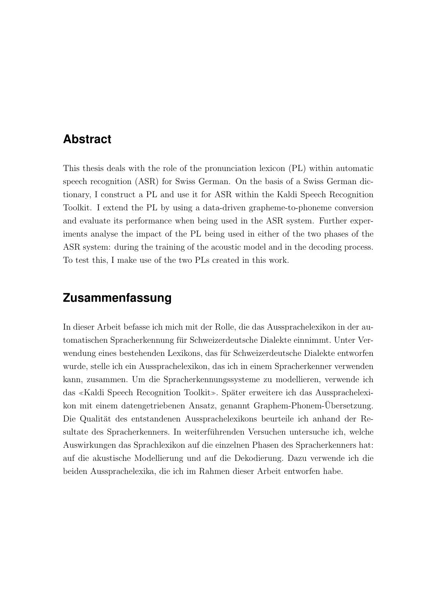## <span id="page-1-0"></span>**Abstract**

This thesis deals with the role of the pronunciation lexicon (PL) within automatic speech recognition (ASR) for Swiss German. On the basis of a Swiss German dictionary, I construct a PL and use it for ASR within the Kaldi Speech Recognition Toolkit. I extend the PL by using a data-driven grapheme-to-phoneme conversion and evaluate its performance when being used in the ASR system. Further experiments analyse the impact of the PL being used in either of the two phases of the ASR system: during the training of the acoustic model and in the decoding process. To test this, I make use of the two PLs created in this work.

## **Zusammenfassung**

In dieser Arbeit befasse ich mich mit der Rolle, die das Aussprachelexikon in der automatischen Spracherkennung für Schweizerdeutsche Dialekte einnimmt. Unter Verwendung eines bestehenden Lexikons, das für Schweizerdeutsche Dialekte entworfen wurde, stelle ich ein Aussprachelexikon, das ich in einem Spracherkenner verwenden kann, zusammen. Um die Spracherkennungssysteme zu modellieren, verwende ich das «Kaldi Speech Recognition Toolkit». Später erweitere ich das Aussprachelexikon mit einem datengetriebenen Ansatz, genannt Graphem-Phonem-Ubersetzung. Die Qualität des entstandenen Aussprachelexikons beurteile ich anhand der Resultate des Spracherkenners. In weiterführenden Versuchen untersuche ich, welche Auswirkungen das Sprachlexikon auf die einzelnen Phasen des Spracherkenners hat: auf die akustische Modellierung und auf die Dekodierung. Dazu verwende ich die beiden Aussprachelexika, die ich im Rahmen dieser Arbeit entworfen habe.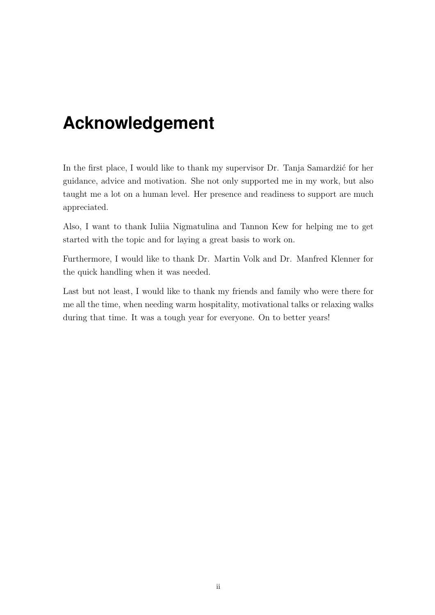# <span id="page-2-0"></span>**Acknowledgement**

In the first place, I would like to thank my supervisor Dr. Tanja Samardžić for her guidance, advice and motivation. She not only supported me in my work, but also taught me a lot on a human level. Her presence and readiness to support are much appreciated.

Also, I want to thank Iuliia Nigmatulina and Tannon Kew for helping me to get started with the topic and for laying a great basis to work on.

Furthermore, I would like to thank Dr. Martin Volk and Dr. Manfred Klenner for the quick handling when it was needed.

Last but not least, I would like to thank my friends and family who were there for me all the time, when needing warm hospitality, motivational talks or relaxing walks during that time. It was a tough year for everyone. On to better years!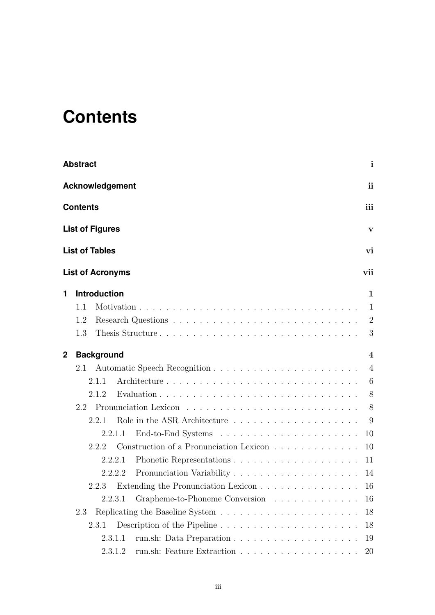# <span id="page-3-0"></span>**Contents**

|   | <b>Abstract</b>                                                                        | $\mathbf{i}$     |
|---|----------------------------------------------------------------------------------------|------------------|
|   | <b>Acknowledgement</b>                                                                 | <i>ii</i>        |
|   | <b>Contents</b>                                                                        | iii              |
|   | <b>List of Figures</b>                                                                 | V                |
|   | <b>List of Tables</b>                                                                  | vi               |
|   | <b>List of Acronyms</b>                                                                | vii              |
| 1 | <b>Introduction</b>                                                                    | 1                |
|   | 1.1                                                                                    | 1                |
|   | 1.2                                                                                    | 2                |
|   | Thesis Structure<br>1.3                                                                | 3                |
| 2 | <b>Background</b>                                                                      | $\boldsymbol{4}$ |
|   | 2.1                                                                                    | $\overline{4}$   |
|   | 2.1.1                                                                                  | 6                |
|   | 2.1.2                                                                                  | 8                |
|   | 2.2                                                                                    | 8                |
|   | 2.2.1                                                                                  | 9                |
|   | 2.2.1.1                                                                                | 10               |
|   | Construction of a Pronunciation Lexicon<br>2.2.2                                       | 10               |
|   | 2.2.2.1                                                                                | 11               |
|   | 2.2.2.2                                                                                |                  |
|   | Extending the Pronunciation Lexicon 16<br>2.2.3                                        |                  |
|   | Grapheme-to-Phoneme Conversion<br>2.2.3.1                                              | 16               |
|   | 2.3                                                                                    | 18               |
|   | Description of the Pipeline $\dots \dots \dots \dots \dots \dots \dots \dots$<br>2.3.1 | 18               |
|   | 2.3.1.1                                                                                | 19               |
|   | 2.3.1.2                                                                                | 20               |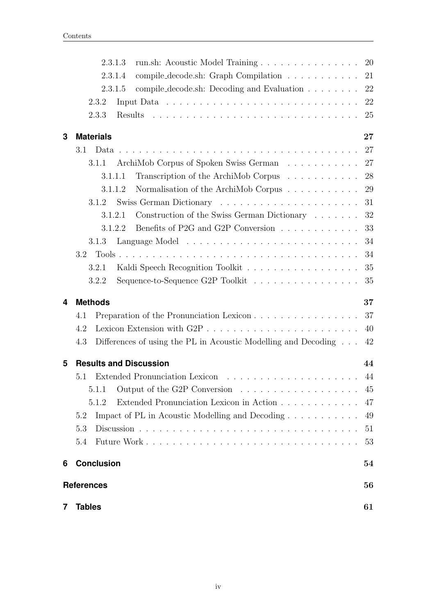|   | 2.3.1.3<br>run.sh: Acoustic Model Training                            | 20     |
|---|-----------------------------------------------------------------------|--------|
|   | compile_decode.sh: Graph Compilation<br>2.3.1.4                       | 21     |
|   | 2.3.1.5<br>compile_decode.sh: Decoding and Evaluation                 | 22     |
|   | 2.3.2                                                                 | 22     |
|   | 2.3.3                                                                 | 25     |
| 3 | <b>Materials</b>                                                      | $27\,$ |
|   | 3.1                                                                   | 27     |
|   | ArchiMob Corpus of Spoken Swiss German<br>3.1.1                       | 27     |
|   | Transcription of the ArchiMob Corpus<br>3.1.1.1                       | 28     |
|   | Normalisation of the ArchiMob Corpus<br>3.1.1.2                       | 29     |
|   | Swiss German Dictionary<br>3.1.2                                      | 31     |
|   | Construction of the Swiss German Dictionary $\ldots$ 32<br>3.1.2.1    |        |
|   | Benefits of P2G and G2P Conversion<br>3.1.2.2                         | 33     |
|   | 3.1.3                                                                 | 34     |
|   | $3.2\phantom{0}$                                                      | 34     |
|   | 3.2.1                                                                 | 35     |
|   | Sequence-to-Sequence G2P Toolkit<br>3.2.2                             | 35     |
|   |                                                                       |        |
| 4 | <b>Methods</b>                                                        | 37     |
|   | Preparation of the Pronunciation Lexicon<br>4.1                       | 37     |
|   | 4.2                                                                   | 40     |
|   | 4.3<br>Differences of using the PL in Acoustic Modelling and Decoding | 42     |
| 5 | <b>Results and Discussion</b>                                         | 44     |
|   | 5.1                                                                   | 44     |
|   | 5.1.1                                                                 | 45     |
|   | 5.1.2<br>Extended Pronunciation Lexicon in Action                     | 47     |
|   | 5.2<br>Impact of PL in Acoustic Modelling and Decoding                | 49     |
|   | 5.3                                                                   | 51     |
|   | 5.4                                                                   | 53     |
| 6 | <b>Conclusion</b>                                                     | 54     |
|   | <b>References</b>                                                     | 56     |
| 7 | <b>Tables</b>                                                         | 61     |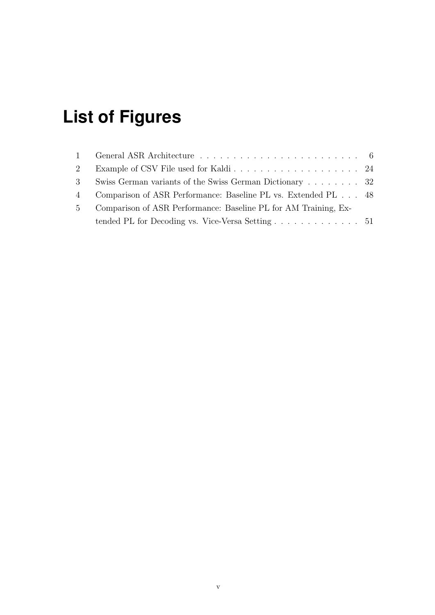# <span id="page-5-0"></span>**List of Figures**

| 2              |                                                                               |  |
|----------------|-------------------------------------------------------------------------------|--|
| $3^{\circ}$    | Swiss German variants of the Swiss German Dictionary  32                      |  |
| $\overline{4}$ | Comparison of ASR Performance: Baseline PL vs. Extended PL 48                 |  |
| $5 -$          | Comparison of ASR Performance: Baseline PL for AM Training, Ex-               |  |
|                | tended PL for Decoding vs. Vice-Versa Setting $\dots \dots \dots \dots \dots$ |  |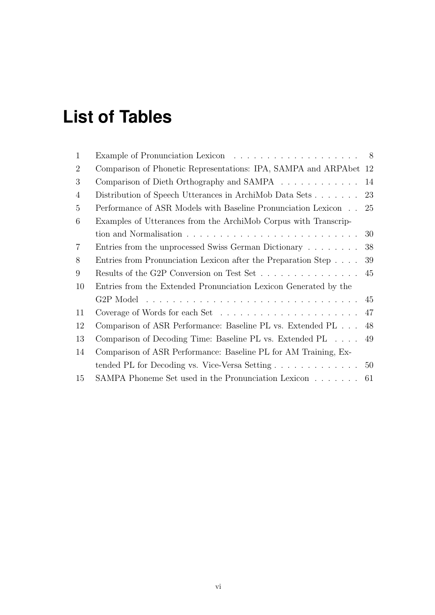# <span id="page-6-0"></span>**List of Tables**

| 1              |                                                                                           |    |
|----------------|-------------------------------------------------------------------------------------------|----|
| $\overline{2}$ | Comparison of Phonetic Representations: IPA, SAMPA and ARPAbet 12                         |    |
| 3              | Comparison of Dieth Orthography and SAMPA 14                                              |    |
| 4              | Distribution of Speech Utterances in ArchiMob Data Sets $\ldots$ 23                       |    |
| 5              | Performance of ASR Models with Baseline Pronunciation Lexicon 25                          |    |
| 6              | Examples of Utterances from the ArchiMob Corpus with Transcrip-                           |    |
|                |                                                                                           | 30 |
| $\overline{7}$ | Entries from the unprocessed Swiss German Dictionary                                      | 38 |
| 8              | Entries from Pronunciation Lexicon after the Preparation Step                             | 39 |
| 9              | Results of the G2P Conversion on Test Set                                                 | 45 |
| 10             | Entries from the Extended Pronunciation Lexicon Generated by the                          |    |
|                |                                                                                           |    |
| 11             | Coverage of Words for each Set $\dots \dots \dots \dots \dots \dots \dots \dots \dots$ 47 |    |
| 12             | Comparison of ASR Performance: Baseline PL vs. Extended PL                                | 48 |
| 13             | Comparison of Decoding Time: Baseline PL vs. Extended PL                                  | 49 |
| 14             | Comparison of ASR Performance: Baseline PL for AM Training, Ex-                           |    |
|                | tended PL for Decoding vs. Vice-Versa Setting $\ldots \ldots \ldots \ldots \ldots$ 50     |    |
| 15             | SAMPA Phoneme Set used in the Pronunciation Lexicon $\dots \dots$ 61                      |    |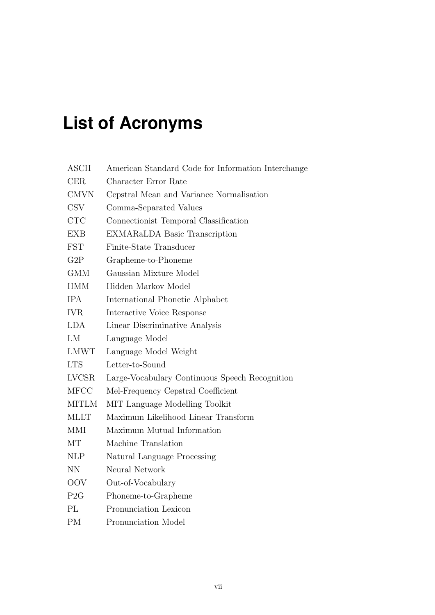# <span id="page-7-0"></span>**List of Acronyms**

| ASCII        | American Standard Code for Information Interchange |  |  |  |
|--------------|----------------------------------------------------|--|--|--|
| <b>CER</b>   | Character Error Rate                               |  |  |  |
| <b>CMVN</b>  | Cepstral Mean and Variance Normalisation           |  |  |  |
| <b>CSV</b>   | Comma-Separated Values                             |  |  |  |
| <b>CTC</b>   | Connectionist Temporal Classification              |  |  |  |
| <b>EXB</b>   | <b>EXMARaLDA Basic Transcription</b>               |  |  |  |
| <b>FST</b>   | Finite-State Transducer                            |  |  |  |
| G2P          | Grapheme-to-Phoneme                                |  |  |  |
| <b>GMM</b>   | Gaussian Mixture Model                             |  |  |  |
| <b>HMM</b>   | Hidden Markov Model                                |  |  |  |
| <b>IPA</b>   | International Phonetic Alphabet                    |  |  |  |
| <b>IVR</b>   | Interactive Voice Response                         |  |  |  |
| <b>LDA</b>   | Linear Discriminative Analysis                     |  |  |  |
| LM           | Language Model                                     |  |  |  |
| <b>LMWT</b>  | Language Model Weight                              |  |  |  |
| <b>LTS</b>   | Letter-to-Sound                                    |  |  |  |
| <b>LVCSR</b> | Large-Vocabulary Continuous Speech Recognition     |  |  |  |
| <b>MFCC</b>  | Mel-Frequency Cepstral Coefficient                 |  |  |  |
| <b>MITLM</b> | MIT Language Modelling Toolkit                     |  |  |  |
| <b>MLLT</b>  | Maximum Likelihood Linear Transform                |  |  |  |
| MMI          | Maximum Mutual Information                         |  |  |  |
| MT           | Machine Translation                                |  |  |  |
| <b>NLP</b>   | Natural Language Processing                        |  |  |  |
| <b>NN</b>    | Neural Network                                     |  |  |  |
| <b>OOV</b>   | Out-of-Vocabulary                                  |  |  |  |
| P2G          | Phoneme-to-Grapheme                                |  |  |  |
| PL           | Pronunciation Lexicon                              |  |  |  |
| <b>PM</b>    | Pronunciation Model                                |  |  |  |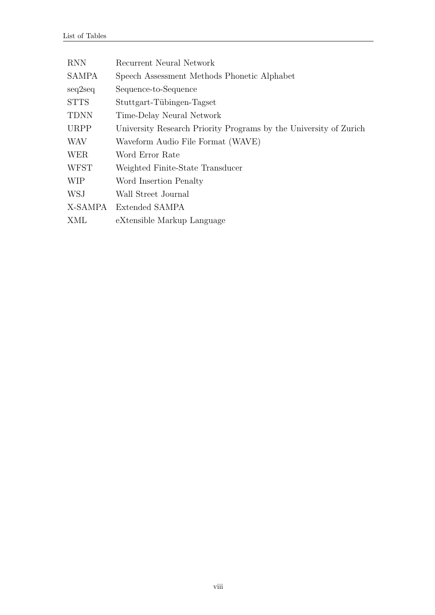| <b>RNN</b>   | Recurrent Neural Network                                          |
|--------------|-------------------------------------------------------------------|
| <b>SAMPA</b> | Speech Assessment Methods Phonetic Alphabet                       |
| seq2seq      | Sequence-to-Sequence                                              |
| <b>STTS</b>  | Stuttgart-Tübingen-Tagset                                         |
| <b>TDNN</b>  | Time-Delay Neural Network                                         |
| <b>URPP</b>  | University Research Priority Programs by the University of Zurich |
| <b>WAV</b>   | Waveform Audio File Format (WAVE)                                 |
| <b>WER</b>   | Word Error Rate                                                   |
| <b>WFST</b>  | Weighted Finite-State Transducer                                  |
| <b>WIP</b>   | Word Insertion Penalty                                            |
| <b>WSJ</b>   | Wall Street Journal                                               |
| X-SAMPA      | Extended SAMPA                                                    |
| XML          | eXtensible Markup Language                                        |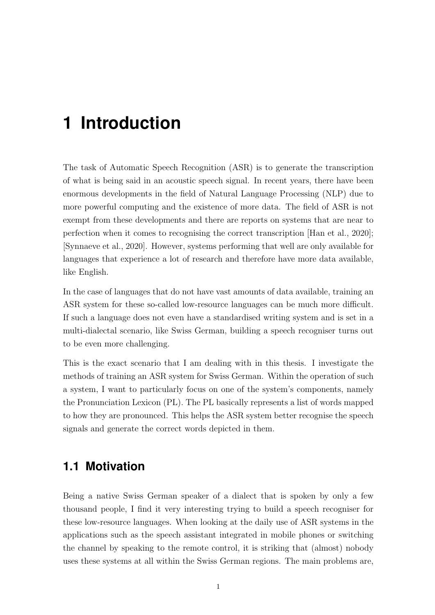# <span id="page-9-0"></span>**1 Introduction**

The task of Automatic Speech Recognition (ASR) is to generate the transcription of what is being said in an acoustic speech signal. In recent years, there have been enormous developments in the field of Natural Language Processing (NLP) due to more powerful computing and the existence of more data. The field of ASR is not exempt from these developments and there are reports on systems that are near to perfection when it comes to recognising the correct transcription [\[Han et al., 2020\]](#page-64-1); [\[Synnaeve et al., 2020\]](#page-68-0). However, systems performing that well are only available for languages that experience a lot of research and therefore have more data available, like English.

In the case of languages that do not have vast amounts of data available, training an ASR system for these so-called low-resource languages can be much more difficult. If such a language does not even have a standardised writing system and is set in a multi-dialectal scenario, like Swiss German, building a speech recogniser turns out to be even more challenging.

This is the exact scenario that I am dealing with in this thesis. I investigate the methods of training an ASR system for Swiss German. Within the operation of such a system, I want to particularly focus on one of the system's components, namely the Pronunciation Lexicon (PL). The PL basically represents a list of words mapped to how they are pronounced. This helps the ASR system better recognise the speech signals and generate the correct words depicted in them.

## <span id="page-9-1"></span>**1.1 Motivation**

Being a native Swiss German speaker of a dialect that is spoken by only a few thousand people, I find it very interesting trying to build a speech recogniser for these low-resource languages. When looking at the daily use of ASR systems in the applications such as the speech assistant integrated in mobile phones or switching the channel by speaking to the remote control, it is striking that (almost) nobody uses these systems at all within the Swiss German regions. The main problems are,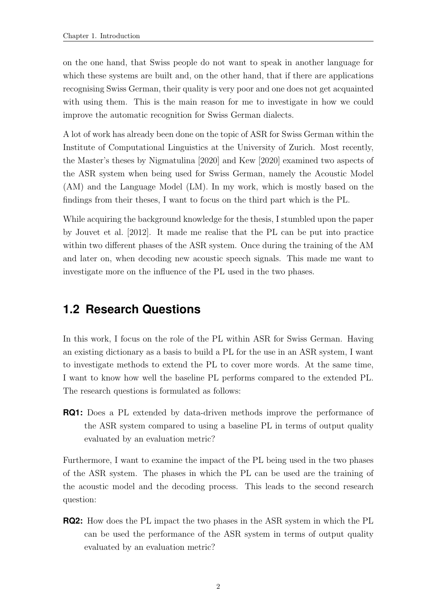on the one hand, that Swiss people do not want to speak in another language for which these systems are built and, on the other hand, that if there are applications recognising Swiss German, their quality is very poor and one does not get acquainted with using them. This is the main reason for me to investigate in how we could improve the automatic recognition for Swiss German dialects.

A lot of work has already been done on the topic of ASR for Swiss German within the Institute of Computational Linguistics at the University of Zurich. Most recently, the Master's theses by [Nigmatulina](#page-66-0) [\[2020\]](#page-66-0) and [Kew](#page-65-0) [\[2020\]](#page-65-0) examined two aspects of the ASR system when being used for Swiss German, namely the Acoustic Model (AM) and the Language Model (LM). In my work, which is mostly based on the findings from their theses, I want to focus on the third part which is the PL.

While acquiring the background knowledge for the thesis, I stumbled upon the paper by [Jouvet et al.](#page-65-1) [\[2012\]](#page-65-1). It made me realise that the PL can be put into practice within two different phases of the ASR system. Once during the training of the AM and later on, when decoding new acoustic speech signals. This made me want to investigate more on the influence of the PL used in the two phases.

## <span id="page-10-0"></span>**1.2 Research Questions**

In this work, I focus on the role of the PL within ASR for Swiss German. Having an existing dictionary as a basis to build a PL for the use in an ASR system, I want to investigate methods to extend the PL to cover more words. At the same time, I want to know how well the baseline PL performs compared to the extended PL. The research questions is formulated as follows:

**RQ1:** Does a PL extended by data-driven methods improve the performance of the ASR system compared to using a baseline PL in terms of output quality evaluated by an evaluation metric?

Furthermore, I want to examine the impact of the PL being used in the two phases of the ASR system. The phases in which the PL can be used are the training of the acoustic model and the decoding process. This leads to the second research question:

**RQ2:** How does the PL impact the two phases in the ASR system in which the PL can be used the performance of the ASR system in terms of output quality evaluated by an evaluation metric?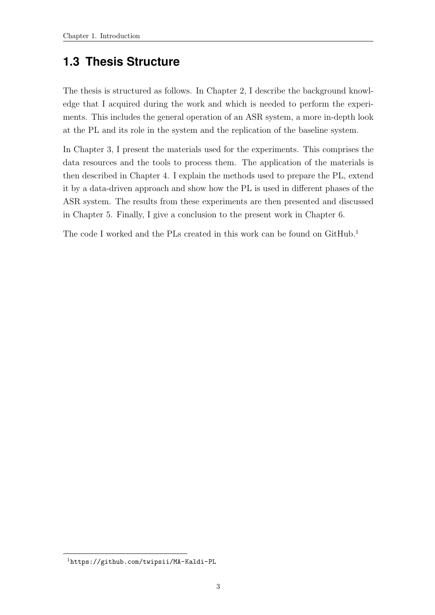## <span id="page-11-0"></span>**1.3 Thesis Structure**

The thesis is structured as follows. In Chapter [2,](#page-12-0) I describe the background knowledge that I acquired during the work and which is needed to perform the experiments. This includes the general operation of an ASR system, a more in-depth look at the PL and its role in the system and the replication of the baseline system.

In Chapter [3,](#page-35-0) I present the materials used for the experiments. This comprises the data resources and the tools to process them. The application of the materials is then described in Chapter [4.](#page-45-0) I explain the methods used to prepare the PL, extend it by a data-driven approach and show how the PL is used in different phases of the ASR system. The results from these experiments are then presented and discussed in Chapter [5.](#page-52-0) Finally, I give a conclusion to the present work in Chapter [6.](#page-62-0)

The code I worked and the PLs created in this work can be found on GitHub.<sup>1</sup>

<sup>1</sup><https://github.com/twipsii/MA-Kaldi-PL>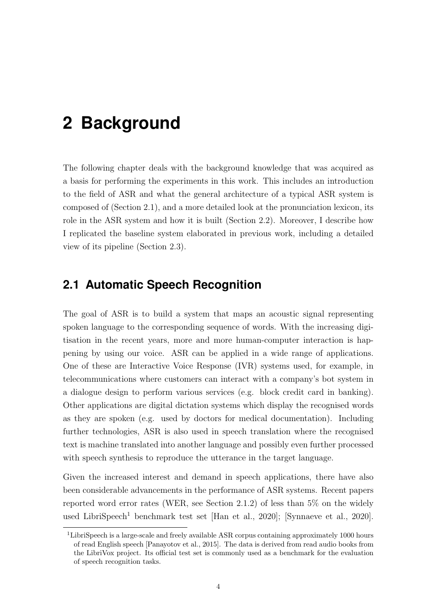# <span id="page-12-0"></span>**2 Background**

The following chapter deals with the background knowledge that was acquired as a basis for performing the experiments in this work. This includes an introduction to the field of ASR and what the general architecture of a typical ASR system is composed of (Section [2.1\)](#page-12-1), and a more detailed look at the pronunciation lexicon, its role in the ASR system and how it is built (Section [2.2\)](#page-16-1). Moreover, I describe how I replicated the baseline system elaborated in previous work, including a detailed view of its pipeline (Section [2.3\)](#page-26-0).

## <span id="page-12-1"></span>**2.1 Automatic Speech Recognition**

The goal of ASR is to build a system that maps an acoustic signal representing spoken language to the corresponding sequence of words. With the increasing digitisation in the recent years, more and more human-computer interaction is happening by using our voice. ASR can be applied in a wide range of applications. One of these are Interactive Voice Response (IVR) systems used, for example, in telecommunications where customers can interact with a company's bot system in a dialogue design to perform various services (e.g. block credit card in banking). Other applications are digital dictation systems which display the recognised words as they are spoken (e.g. used by doctors for medical documentation). Including further technologies, ASR is also used in speech translation where the recognised text is machine translated into another language and possibly even further processed with speech synthesis to reproduce the utterance in the target language.

Given the increased interest and demand in speech applications, there have also been considerable advancements in the performance of ASR systems. Recent papers reported word error rates (WER, see Section [2.1.2\)](#page-16-0) of less than 5% on the widely used LibriSpeech<sup>1</sup> benchmark test set [\[Han et al., 2020\]](#page-64-1); [\[Synnaeve et al., 2020\]](#page-68-0).

<sup>&</sup>lt;sup>1</sup>LibriSpeech is a large-scale and freely available ASR corpus containing approximately 1000 hours of read English speech [\[Panayotov et al., 2015\]](#page-66-1). The data is derived from read audio books from the LibriVox project. Its official test set is commonly used as a benchmark for the evaluation of speech recognition tasks.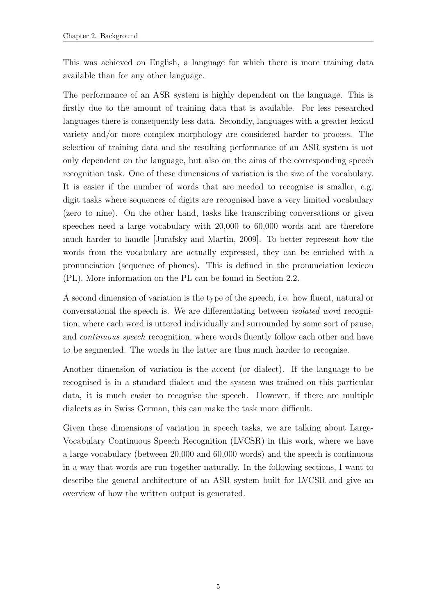This was achieved on English, a language for which there is more training data available than for any other language.

The performance of an ASR system is highly dependent on the language. This is firstly due to the amount of training data that is available. For less researched languages there is consequently less data. Secondly, languages with a greater lexical variety and/or more complex morphology are considered harder to process. The selection of training data and the resulting performance of an ASR system is not only dependent on the language, but also on the aims of the corresponding speech recognition task. One of these dimensions of variation is the size of the vocabulary. It is easier if the number of words that are needed to recognise is smaller, e.g. digit tasks where sequences of digits are recognised have a very limited vocabulary (zero to nine). On the other hand, tasks like transcribing conversations or given speeches need a large vocabulary with 20,000 to 60,000 words and are therefore much harder to handle [\[Jurafsky and Martin, 2009\]](#page-65-2). To better represent how the words from the vocabulary are actually expressed, they can be enriched with a pronunciation (sequence of phones). This is defined in the pronunciation lexicon (PL). More information on the PL can be found in Section [2.2.](#page-16-1)

A second dimension of variation is the type of the speech, i.e. how fluent, natural or conversational the speech is. We are differentiating between isolated word recognition, where each word is uttered individually and surrounded by some sort of pause, and *continuous speech* recognition, where words fluently follow each other and have to be segmented. The words in the latter are thus much harder to recognise.

Another dimension of variation is the accent (or dialect). If the language to be recognised is in a standard dialect and the system was trained on this particular data, it is much easier to recognise the speech. However, if there are multiple dialects as in Swiss German, this can make the task more difficult.

Given these dimensions of variation in speech tasks, we are talking about Large-Vocabulary Continuous Speech Recognition (LVCSR) in this work, where we have a large vocabulary (between 20,000 and 60,000 words) and the speech is continuous in a way that words are run together naturally. In the following sections, I want to describe the general architecture of an ASR system built for LVCSR and give an overview of how the written output is generated.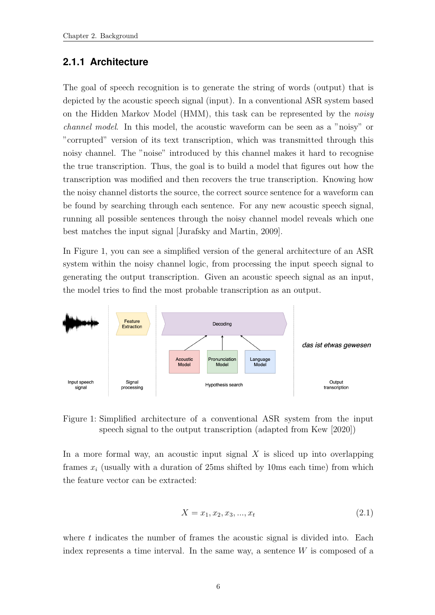#### <span id="page-14-0"></span>**2.1.1 Architecture**

The goal of speech recognition is to generate the string of words (output) that is depicted by the acoustic speech signal (input). In a conventional ASR system based on the Hidden Markov Model (HMM), this task can be represented by the noisy channel model. In this model, the acoustic waveform can be seen as a "noisy" or "corrupted" version of its text transcription, which was transmitted through this noisy channel. The "noise" introduced by this channel makes it hard to recognise the true transcription. Thus, the goal is to build a model that figures out how the transcription was modified and then recovers the true transcription. Knowing how the noisy channel distorts the source, the correct source sentence for a waveform can be found by searching through each sentence. For any new acoustic speech signal, running all possible sentences through the noisy channel model reveals which one best matches the input signal [\[Jurafsky and Martin, 2009\]](#page-65-2).

In Figure [1,](#page-14-1) you can see a simplified version of the general architecture of an ASR system within the noisy channel logic, from processing the input speech signal to generating the output transcription. Given an acoustic speech signal as an input, the model tries to find the most probable transcription as an output.



<span id="page-14-1"></span>Figure 1: Simplified architecture of a conventional ASR system from the input speech signal to the output transcription (adapted from [Kew](#page-65-0) [\[2020\]](#page-65-0))

In a more formal way, an acoustic input signal  $X$  is sliced up into overlapping frames  $x_i$  (usually with a duration of 25ms shifted by 10ms each time) from which the feature vector can be extracted:

$$
X = x_1, x_2, x_3, ..., x_t
$$
\n(2.1)

where  $t$  indicates the number of frames the acoustic signal is divided into. Each index represents a time interval. In the same way, a sentence  $W$  is composed of a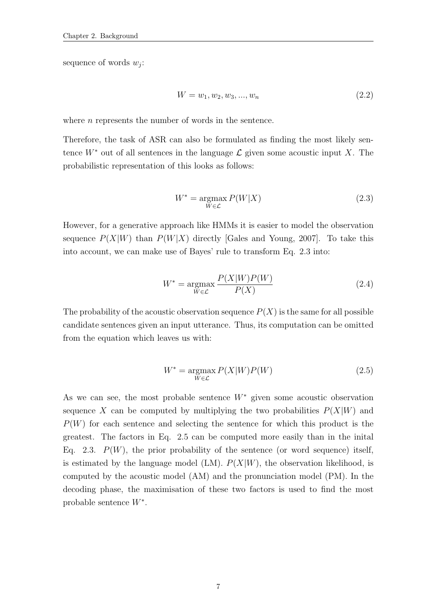sequence of words  $w_j$ :

$$
W = w_1, w_2, w_3, ..., w_n
$$
\n<sup>(2.2)</sup>

where  $n$  represents the number of words in the sentence.

<span id="page-15-0"></span>Therefore, the task of ASR can also be formulated as finding the most likely sentence  $W^*$  out of all sentences in the language  $\mathcal L$  given some acoustic input X. The probabilistic representation of this looks as follows:

$$
W^* = \underset{W \in \mathcal{L}}{\operatorname{argmax}} P(W|X) \tag{2.3}
$$

However, for a generative approach like HMMs it is easier to model the observation sequence  $P(X|W)$  than  $P(W|X)$  directly [\[Gales and Young, 2007\]](#page-64-2). To take this into account, we can make use of Bayes' rule to transform Eq. [2.3](#page-15-0) into:

$$
W^* = \underset{W \in \mathcal{L}}{\operatorname{argmax}} \frac{P(X|W)P(W)}{P(X)}
$$
(2.4)

<span id="page-15-1"></span>The probability of the acoustic observation sequence  $P(X)$  is the same for all possible candidate sentences given an input utterance. Thus, its computation can be omitted from the equation which leaves us with:

$$
W^* = \underset{W \in \mathcal{L}}{\operatorname{argmax}} \, P(X|W)P(W) \tag{2.5}
$$

As we can see, the most probable sentence  $W^*$  given some acoustic observation sequence X can be computed by multiplying the two probabilities  $P(X|W)$  and  $P(W)$  for each sentence and selecting the sentence for which this product is the greatest. The factors in Eq. [2.5](#page-15-1) can be computed more easily than in the inital Eq. [2.3.](#page-15-0)  $P(W)$ , the prior probability of the sentence (or word sequence) itself, is estimated by the language model (LM).  $P(X|W)$ , the observation likelihood, is computed by the acoustic model (AM) and the pronunciation model (PM). In the decoding phase, the maximisation of these two factors is used to find the most probable sentence W<sup>∗</sup> .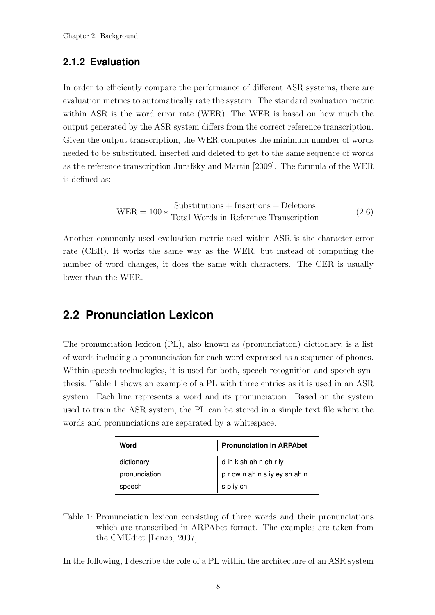#### <span id="page-16-0"></span>**2.1.2 Evaluation**

In order to efficiently compare the performance of different ASR systems, there are evaluation metrics to automatically rate the system. The standard evaluation metric within ASR is the word error rate (WER). The WER is based on how much the output generated by the ASR system differs from the correct reference transcription. Given the output transcription, the WER computes the minimum number of words needed to be substituted, inserted and deleted to get to the same sequence of words as the reference transcription [Jurafsky and Martin](#page-65-2) [\[2009\]](#page-65-2). The formula of the WER is defined as:

$$
WER = 100 * \frac{Substitutions + Insertions + Deletions}{Total Words in Reference Transformation}
$$
 (2.6)

Another commonly used evaluation metric used within ASR is the character error rate (CER). It works the same way as the WER, but instead of computing the number of word changes, it does the same with characters. The CER is usually lower than the WER.

### <span id="page-16-1"></span>**2.2 Pronunciation Lexicon**

The pronunciation lexicon (PL), also known as (pronunciation) dictionary, is a list of words including a pronunciation for each word expressed as a sequence of phones. Within speech technologies, it is used for both, speech recognition and speech synthesis. Table [1](#page-16-2) shows an example of a PL with three entries as it is used in an ASR system. Each line represents a word and its pronunciation. Based on the system used to train the ASR system, the PL can be stored in a simple text file where the words and pronunciations are separated by a whitespace.

| Word          | <b>Pronunciation in ARPAbet</b> |  |  |
|---------------|---------------------------------|--|--|
| dictionary    | d ih k sh ah n eh r iy          |  |  |
| pronunciation | prownahnsiyeyshahn              |  |  |
| speech        | s p iy ch                       |  |  |

<span id="page-16-2"></span>Table 1: Pronunciation lexicon consisting of three words and their pronunciations which are transcribed in ARPAbet format. The examples are taken from the CMUdict [\[Lenzo, 2007\]](#page-66-2).

In the following, I describe the role of a PL within the architecture of an ASR system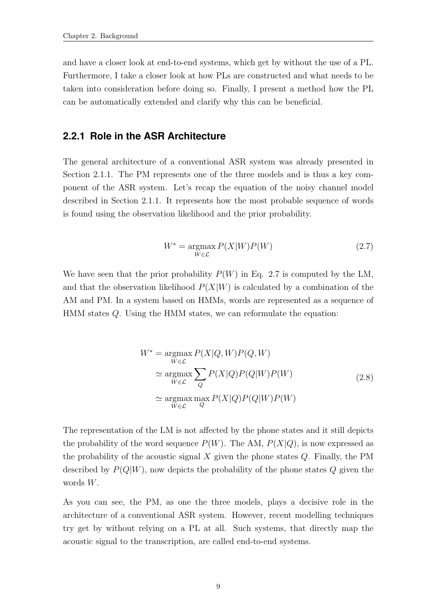and have a closer look at end-to-end systems, which get by without the use of a PL. Furthermore, I take a closer look at how PLs are constructed and what needs to be taken into consideration before doing so. Finally, I present a method how the PL can be automatically extended and clarify why this can be beneficial.

#### <span id="page-17-0"></span>**2.2.1 Role in the ASR Architecture**

The general architecture of a conventional ASR system was already presented in Section [2.1.1.](#page-14-0) The PM represents one of the three models and is thus a key component of the ASR system. Let's recap the equation of the noisy channel model described in Section [2.1.1.](#page-14-0) It represents how the most probable sequence of words is found using the observation likelihood and the prior probability.

$$
W^* = \underset{W \in \mathcal{L}}{\operatorname{argmax}} P(X|W)P(W) \tag{2.7}
$$

<span id="page-17-1"></span>We have seen that the prior probability  $P(W)$  in Eq. [2.7](#page-17-1) is computed by the LM, and that the observation likelihood  $P(X|W)$  is calculated by a combination of the AM and PM. In a system based on HMMs, words are represented as a sequence of HMM states Q. Using the HMM states, we can reformulate the equation:

$$
W^* = \underset{W \in \mathcal{L}}{\operatorname{argmax}} P(X|Q, W)P(Q, W)
$$
  
\n
$$
\simeq \underset{W \in \mathcal{L}}{\operatorname{argmax}} \sum_{Q} P(X|Q)P(Q|W)P(W)
$$
  
\n
$$
\simeq \underset{W \in \mathcal{L}}{\operatorname{argmax}} \underset{Q}{\operatorname{max}} P(X|Q)P(Q|W)P(W)
$$
\n(2.8)

The representation of the LM is not affected by the phone states and it still depicts the probability of the word sequence  $P(W)$ . The AM,  $P(X|Q)$ , is now expressed as the probability of the acoustic signal  $X$  given the phone states  $Q$ . Finally, the PM described by  $P(Q|W)$ , now depicts the probability of the phone states Q given the words W.

As you can see, the PM, as one the three models, plays a decisive role in the architecture of a conventional ASR system. However, recent modelling techniques try get by without relying on a PL at all. Such systems, that directly map the acoustic signal to the transcription, are called end-to-end systems.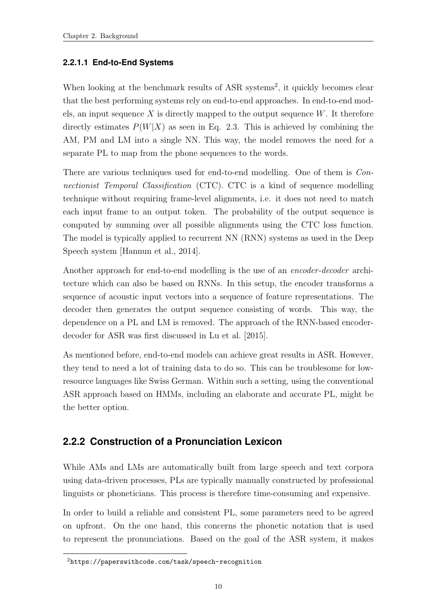#### <span id="page-18-0"></span>**2.2.1.1 End-to-End Systems**

When looking at the benchmark results of ASR systems<sup>2</sup>, it quickly becomes clear that the best performing systems rely on end-to-end approaches. In end-to-end models, an input sequence X is directly mapped to the output sequence  $W$ . It therefore directly estimates  $P(W|X)$  as seen in Eq. [2.3.](#page-15-0) This is achieved by combining the AM, PM and LM into a single NN. This way, the model removes the need for a separate PL to map from the phone sequences to the words.

There are various techniques used for end-to-end modelling. One of them is Connectionist Temporal Classification (CTC). CTC is a kind of sequence modelling technique without requiring frame-level alignments, i.e. it does not need to match each input frame to an output token. The probability of the output sequence is computed by summing over all possible alignments using the CTC loss function. The model is typically applied to recurrent NN (RNN) systems as used in the Deep Speech system [\[Hannun et al., 2014\]](#page-64-3).

Another approach for end-to-end modelling is the use of an encoder-decoder architecture which can also be based on RNNs. In this setup, the encoder transforms a sequence of acoustic input vectors into a sequence of feature representations. The decoder then generates the output sequence consisting of words. This way, the dependence on a PL and LM is removed. The approach of the RNN-based encoderdecoder for ASR was first discussed in [Lu et al.](#page-66-3) [\[2015\]](#page-66-3).

As mentioned before, end-to-end models can achieve great results in ASR. However, they tend to need a lot of training data to do so. This can be troublesome for lowresource languages like Swiss German. Within such a setting, using the conventional ASR approach based on HMMs, including an elaborate and accurate PL, might be the better option.

### <span id="page-18-1"></span>**2.2.2 Construction of a Pronunciation Lexicon**

While AMs and LMs are automatically built from large speech and text corpora using data-driven processes, PLs are typically manually constructed by professional linguists or phoneticians. This process is therefore time-consuming and expensive.

In order to build a reliable and consistent PL, some parameters need to be agreed on upfront. On the one hand, this concerns the phonetic notation that is used to represent the pronunciations. Based on the goal of the ASR system, it makes

<sup>2</sup><https://paperswithcode.com/task/speech-recognition>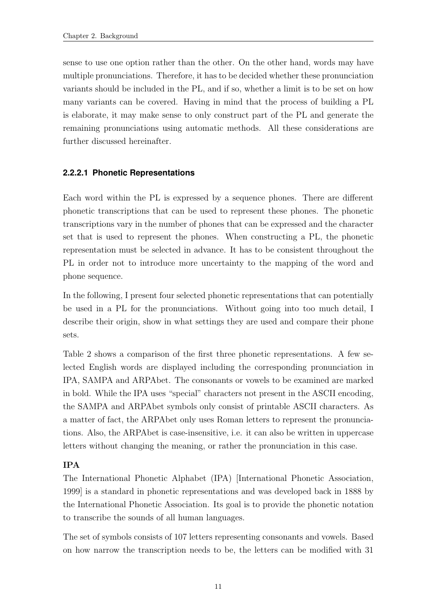sense to use one option rather than the other. On the other hand, words may have multiple pronunciations. Therefore, it has to be decided whether these pronunciation variants should be included in the PL, and if so, whether a limit is to be set on how many variants can be covered. Having in mind that the process of building a PL is elaborate, it may make sense to only construct part of the PL and generate the remaining pronunciations using automatic methods. All these considerations are further discussed hereinafter.

#### <span id="page-19-0"></span>**2.2.2.1 Phonetic Representations**

Each word within the PL is expressed by a sequence phones. There are different phonetic transcriptions that can be used to represent these phones. The phonetic transcriptions vary in the number of phones that can be expressed and the character set that is used to represent the phones. When constructing a PL, the phonetic representation must be selected in advance. It has to be consistent throughout the PL in order not to introduce more uncertainty to the mapping of the word and phone sequence.

In the following, I present four selected phonetic representations that can potentially be used in a PL for the pronunciations. Without going into too much detail, I describe their origin, show in what settings they are used and compare their phone sets.

Table [2](#page-20-0) shows a comparison of the first three phonetic representations. A few selected English words are displayed including the corresponding pronunciation in IPA, SAMPA and ARPAbet. The consonants or vowels to be examined are marked in bold. While the IPA uses "special" characters not present in the ASCII encoding, the SAMPA and ARPAbet symbols only consist of printable ASCII characters. As a matter of fact, the ARPAbet only uses Roman letters to represent the pronunciations. Also, the ARPAbet is case-insensitive, i.e. it can also be written in uppercase letters without changing the meaning, or rather the pronunciation in this case.

#### IPA

The International Phonetic Alphabet (IPA) [\[International Phonetic Association,](#page-65-3) [1999\]](#page-65-3) is a standard in phonetic representations and was developed back in 1888 by the International Phonetic Association. Its goal is to provide the phonetic notation to transcribe the sounds of all human languages.

The set of symbols consists of 107 letters representing consonants and vowels. Based on how narrow the transcription needs to be, the letters can be modified with 31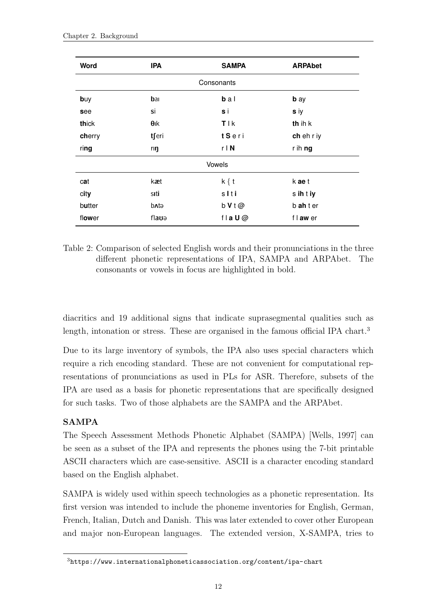| Word       | <b>IPA</b>   | <b>SAMPA</b> | <b>ARPAbet</b> |  |
|------------|--------------|--------------|----------------|--|
| Consonants |              |              |                |  |
| buy        | bar          | $b a l$      | <b>b</b> ay    |  |
| see        | Sİ           | s i          | s iy           |  |
| thick      | $\theta$ ık  | <b>TIK</b>   | th ih k        |  |
| cherry     | tferi        | tSeri        | ch eh r iy     |  |
| ring       | rıŋ          | $r \mid N$   | r ih ng        |  |
|            |              | Vowels       |                |  |
| cat        | kæt          | $k \{ t$     | k ae t         |  |
| city       | sıti         | slti         | s ih t iy      |  |
| butter     | <b>b</b> ntə | $b$ V t $@$  | b ah t er      |  |
| flower     | flauə        | fla $U@$     | f I aw er      |  |

<span id="page-20-0"></span>Table 2: Comparison of selected English words and their pronunciations in the three different phonetic representations of IPA, SAMPA and ARPAbet. The consonants or vowels in focus are highlighted in bold.

diacritics and 19 additional signs that indicate suprasegmental qualities such as length, intonation or stress. These are organised in the famous official IPA chart.<sup>3</sup>

Due to its large inventory of symbols, the IPA also uses special characters which require a rich encoding standard. These are not convenient for computational representations of pronunciations as used in PLs for ASR. Therefore, subsets of the IPA are used as a basis for phonetic representations that are specifically designed for such tasks. Two of those alphabets are the SAMPA and the ARPAbet.

#### SAMPA

The Speech Assessment Methods Phonetic Alphabet (SAMPA) [\[Wells, 1997\]](#page-68-1) can be seen as a subset of the IPA and represents the phones using the 7-bit printable ASCII characters which are case-sensitive. ASCII is a character encoding standard based on the English alphabet.

SAMPA is widely used within speech technologies as a phonetic representation. Its first version was intended to include the phoneme inventories for English, German, French, Italian, Dutch and Danish. This was later extended to cover other European and major non-European languages. The extended version, X-SAMPA, tries to

<sup>3</sup><https://www.internationalphoneticassociation.org/content/ipa-chart>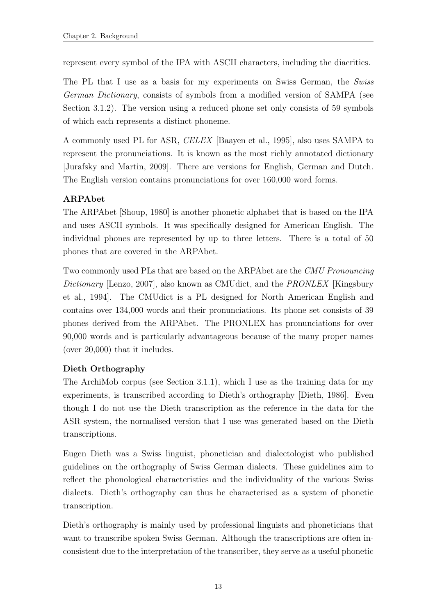represent every symbol of the IPA with ASCII characters, including the diacritics.

The PL that I use as a basis for my experiments on Swiss German, the Swiss German Dictionary, consists of symbols from a modified version of SAMPA (see Section [3.1.2\)](#page-39-0). The version using a reduced phone set only consists of 59 symbols of which each represents a distinct phoneme.

A commonly used PL for ASR, CELEX [\[Baayen et al., 1995\]](#page-64-4), also uses SAMPA to represent the pronunciations. It is known as the most richly annotated dictionary [\[Jurafsky and Martin, 2009\]](#page-65-2). There are versions for English, German and Dutch. The English version contains pronunciations for over 160,000 word forms.

#### ARPAbet

The ARPAbet [\[Shoup, 1980\]](#page-67-0) is another phonetic alphabet that is based on the IPA and uses ASCII symbols. It was specifically designed for American English. The individual phones are represented by up to three letters. There is a total of 50 phones that are covered in the ARPAbet.

Two commonly used PLs that are based on the ARPAbet are the CMU Pronouncing Dictionary [\[Lenzo, 2007\]](#page-66-2), also known as CMU dict, and the *PRONLEX* [\[Kingsbury](#page-65-4)] [et al., 1994\]](#page-65-4). The CMUdict is a PL designed for North American English and contains over 134,000 words and their pronunciations. Its phone set consists of 39 phones derived from the ARPAbet. The PRONLEX has pronunciations for over 90,000 words and is particularly advantageous because of the many proper names (over 20,000) that it includes.

#### Dieth Orthography

The ArchiMob corpus (see Section [3.1.1\)](#page-35-2), which I use as the training data for my experiments, is transcribed according to Dieth's orthography [\[Dieth, 1986\]](#page-64-5). Even though I do not use the Dieth transcription as the reference in the data for the ASR system, the normalised version that I use was generated based on the Dieth transcriptions.

Eugen Dieth was a Swiss linguist, phonetician and dialectologist who published guidelines on the orthography of Swiss German dialects. These guidelines aim to reflect the phonological characteristics and the individuality of the various Swiss dialects. Dieth's orthography can thus be characterised as a system of phonetic transcription.

Dieth's orthography is mainly used by professional linguists and phoneticians that want to transcribe spoken Swiss German. Although the transcriptions are often inconsistent due to the interpretation of the transcriber, they serve as a useful phonetic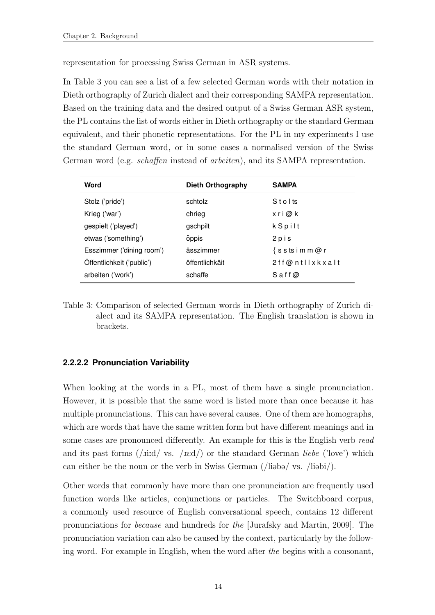representation for processing Swiss German in ASR systems.

In Table [3](#page-22-1) you can see a list of a few selected German words with their notation in Dieth orthography of Zurich dialect and their corresponding SAMPA representation. Based on the training data and the desired output of a Swiss German ASR system, the PL contains the list of words either in Dieth orthography or the standard German equivalent, and their phonetic representations. For the PL in my experiments I use the standard German word, or in some cases a normalised version of the Swiss German word (e.g. schaffen instead of arbeiten), and its SAMPA representation.

| Word                      | Dieth Orthography | <b>SAMPA</b>       |
|---------------------------|-------------------|--------------------|
| Stolz ('pride')           | schtolz           | Stolts             |
| Krieg ('war')             | chrieg            | xri@k              |
| gespielt ('played')       | gschpilt          | k Spilt            |
| etwas ('something')       | öppis             | 2 p i s            |
| Esszimmer ('dining room') | ässzimmer         | $\{s$ stsimm@r     |
| Öffentlichkeit ('public') | öffentlichkäit    | 2ff@ntllxkxalt     |
| arbeiten ('work')         | schaffe           | $S$ a f f $\omega$ |

<span id="page-22-1"></span>Table 3: Comparison of selected German words in Dieth orthography of Zurich dialect and its SAMPA representation. The English translation is shown in brackets.

#### <span id="page-22-0"></span>**2.2.2.2 Pronunciation Variability**

When looking at the words in a PL, most of them have a single pronunciation. However, it is possible that the same word is listed more than once because it has multiple pronunciations. This can have several causes. One of them are homographs, which are words that have the same written form but have different meanings and in some cases are pronounced differently. An example for this is the English verb read and its past forms  $(j \text{iid} / \text{ vs. } / \text{ied})$  or the standard German liebe ('love') which can either be the noun or the verb in Swiss German ( $\ell$ li $\delta$ bi/).

Other words that commonly have more than one pronunciation are frequently used function words like articles, conjunctions or particles. The Switchboard corpus, a commonly used resource of English conversational speech, contains 12 different pronunciations for because and hundreds for the [\[Jurafsky and Martin, 2009\]](#page-65-2). The pronunciation variation can also be caused by the context, particularly by the following word. For example in English, when the word after the begins with a consonant,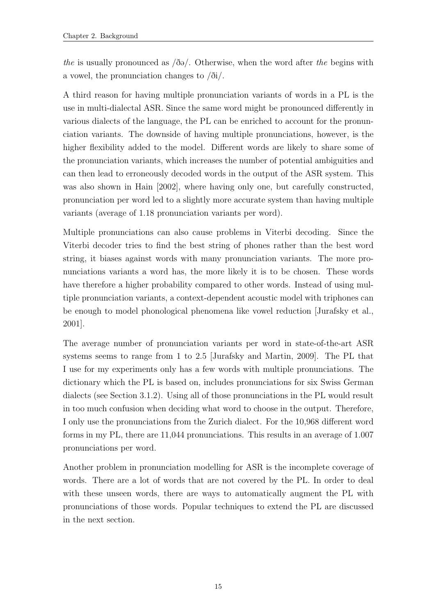the is usually pronounced as  $\delta \Theta$ . Otherwise, when the word after the begins with a vowel, the pronunciation changes to  $\delta i$ .

A third reason for having multiple pronunciation variants of words in a PL is the use in multi-dialectal ASR. Since the same word might be pronounced differently in various dialects of the language, the PL can be enriched to account for the pronunciation variants. The downside of having multiple pronunciations, however, is the higher flexibility added to the model. Different words are likely to share some of the pronunciation variants, which increases the number of potential ambiguities and can then lead to erroneously decoded words in the output of the ASR system. This was also shown in [Hain](#page-64-6) [\[2002\]](#page-64-6), where having only one, but carefully constructed, pronunciation per word led to a slightly more accurate system than having multiple variants (average of 1.18 pronunciation variants per word).

Multiple pronunciations can also cause problems in Viterbi decoding. Since the Viterbi decoder tries to find the best string of phones rather than the best word string, it biases against words with many pronunciation variants. The more pronunciations variants a word has, the more likely it is to be chosen. These words have therefore a higher probability compared to other words. Instead of using multiple pronunciation variants, a context-dependent acoustic model with triphones can be enough to model phonological phenomena like vowel reduction [\[Jurafsky et al.,](#page-65-5) [2001\]](#page-65-5).

The average number of pronunciation variants per word in state-of-the-art ASR systems seems to range from 1 to 2.5 [\[Jurafsky and Martin, 2009\]](#page-65-2). The PL that I use for my experiments only has a few words with multiple pronunciations. The dictionary which the PL is based on, includes pronunciations for six Swiss German dialects (see Section [3.1.2\)](#page-39-0). Using all of those pronunciations in the PL would result in too much confusion when deciding what word to choose in the output. Therefore, I only use the pronunciations from the Zurich dialect. For the 10,968 different word forms in my PL, there are 11,044 pronunciations. This results in an average of 1.007 pronunciations per word.

Another problem in pronunciation modelling for ASR is the incomplete coverage of words. There are a lot of words that are not covered by the PL. In order to deal with these unseen words, there are ways to automatically augment the PL with pronunciations of those words. Popular techniques to extend the PL are discussed in the next section.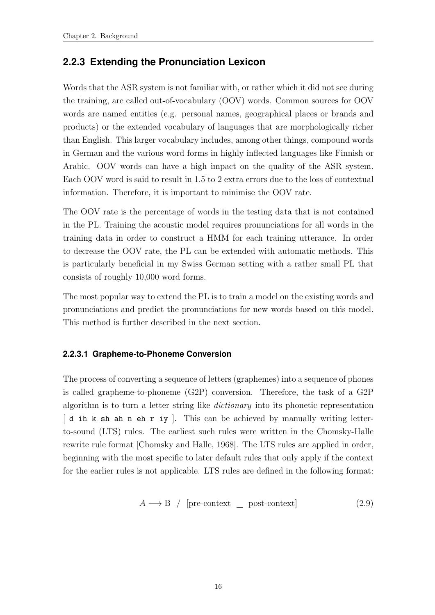### <span id="page-24-0"></span>**2.2.3 Extending the Pronunciation Lexicon**

Words that the ASR system is not familiar with, or rather which it did not see during the training, are called out-of-vocabulary (OOV) words. Common sources for OOV words are named entities (e.g. personal names, geographical places or brands and products) or the extended vocabulary of languages that are morphologically richer than English. This larger vocabulary includes, among other things, compound words in German and the various word forms in highly inflected languages like Finnish or Arabic. OOV words can have a high impact on the quality of the ASR system. Each OOV word is said to result in 1.5 to 2 extra errors due to the loss of contextual information. Therefore, it is important to minimise the OOV rate.

The OOV rate is the percentage of words in the testing data that is not contained in the PL. Training the acoustic model requires pronunciations for all words in the training data in order to construct a HMM for each training utterance. In order to decrease the OOV rate, the PL can be extended with automatic methods. This is particularly beneficial in my Swiss German setting with a rather small PL that consists of roughly 10,000 word forms.

The most popular way to extend the PL is to train a model on the existing words and pronunciations and predict the pronunciations for new words based on this model. This method is further described in the next section.

#### <span id="page-24-1"></span>**2.2.3.1 Grapheme-to-Phoneme Conversion**

The process of converting a sequence of letters (graphemes) into a sequence of phones is called grapheme-to-phoneme (G2P) conversion. Therefore, the task of a G2P algorithm is to turn a letter string like dictionary into its phonetic representation [ d ih k sh ah n eh r iy ]. This can be achieved by manually writing letterto-sound (LTS) rules. The earliest such rules were written in the Chomsky-Halle rewrite rule format [\[Chomsky and Halle, 1968\]](#page-64-7). The LTS rules are applied in order, beginning with the most specific to later default rules that only apply if the context for the earlier rules is not applicable. LTS rules are defined in the following format:

$$
A \longrightarrow B / [pre-context \_ post-context]
$$
 (2.9)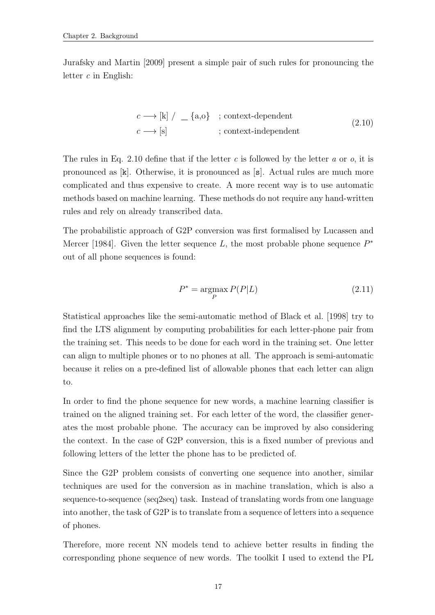<span id="page-25-0"></span>[Jurafsky and Martin](#page-65-2) [\[2009\]](#page-65-2) present a simple pair of such rules for pronouncing the letter  $c$  in English:

$$
c \longrightarrow [k] / \_ \{a, o\} ; context-dependent
$$
  

$$
c \longrightarrow [s] ; context-independent
$$
  
(2.10)

The rules in Eq. [2.10](#page-25-0) define that if the letter c is followed by the letter a or  $o$ , it is pronounced as [k]. Otherwise, it is pronounced as [s]. Actual rules are much more complicated and thus expensive to create. A more recent way is to use automatic methods based on machine learning. These methods do not require any hand-written rules and rely on already transcribed data.

The probabilistic approach of G2P conversion was first formalised by [Lucassen and](#page-66-4) [Mercer](#page-66-4) [\[1984\]](#page-66-4). Given the letter sequence  $L$ , the most probable phone sequence  $P^*$ out of all phone sequences is found:

$$
P^* = \underset{P}{\text{argmax}} P(P|L) \tag{2.11}
$$

Statistical approaches like the semi-automatic method of [Black et al.](#page-64-8) [\[1998\]](#page-64-8) try to find the LTS alignment by computing probabilities for each letter-phone pair from the training set. This needs to be done for each word in the training set. One letter can align to multiple phones or to no phones at all. The approach is semi-automatic because it relies on a pre-defined list of allowable phones that each letter can align to.

In order to find the phone sequence for new words, a machine learning classifier is trained on the aligned training set. For each letter of the word, the classifier generates the most probable phone. The accuracy can be improved by also considering the context. In the case of G2P conversion, this is a fixed number of previous and following letters of the letter the phone has to be predicted of.

Since the G2P problem consists of converting one sequence into another, similar techniques are used for the conversion as in machine translation, which is also a sequence-to-sequence (seq2seq) task. Instead of translating words from one language into another, the task of G2P is to translate from a sequence of letters into a sequence of phones.

Therefore, more recent NN models tend to achieve better results in finding the corresponding phone sequence of new words. The toolkit I used to extend the PL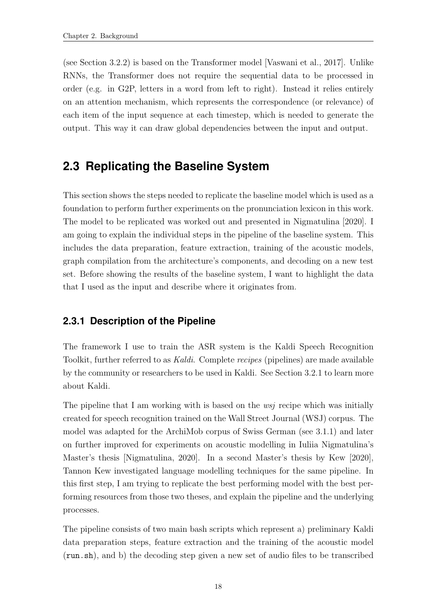(see Section [3.2.2\)](#page-43-1) is based on the Transformer model [\[Vaswani et al., 2017\]](#page-68-2). Unlike RNNs, the Transformer does not require the sequential data to be processed in order (e.g. in G2P, letters in a word from left to right). Instead it relies entirely on an attention mechanism, which represents the correspondence (or relevance) of each item of the input sequence at each timestep, which is needed to generate the output. This way it can draw global dependencies between the input and output.

## <span id="page-26-0"></span>**2.3 Replicating the Baseline System**

This section shows the steps needed to replicate the baseline model which is used as a foundation to perform further experiments on the pronunciation lexicon in this work. The model to be replicated was worked out and presented in [Nigmatulina](#page-66-0) [\[2020\]](#page-66-0). I am going to explain the individual steps in the pipeline of the baseline system. This includes the data preparation, feature extraction, training of the acoustic models, graph compilation from the architecture's components, and decoding on a new test set. Before showing the results of the baseline system, I want to highlight the data that I used as the input and describe where it originates from.

#### <span id="page-26-1"></span>**2.3.1 Description of the Pipeline**

The framework I use to train the ASR system is the Kaldi Speech Recognition Toolkit, further referred to as Kaldi. Complete recipes (pipelines) are made available by the community or researchers to be used in Kaldi. See Section [3.2.1](#page-43-0) to learn more about Kaldi.

The pipeline that I am working with is based on the *wsj* recipe which was initially created for speech recognition trained on the Wall Street Journal (WSJ) corpus. The model was adapted for the ArchiMob corpus of Swiss German (see [3.1.1\)](#page-35-2) and later on further improved for experiments on acoustic modelling in Iuliia Nigmatulina's Master's thesis [\[Nigmatulina, 2020\]](#page-66-0). In a second Master's thesis by [Kew](#page-65-0) [\[2020\]](#page-65-0), Tannon Kew investigated language modelling techniques for the same pipeline. In this first step, I am trying to replicate the best performing model with the best performing resources from those two theses, and explain the pipeline and the underlying processes.

The pipeline consists of two main bash scripts which represent a) preliminary Kaldi data preparation steps, feature extraction and the training of the acoustic model (run.sh), and b) the decoding step given a new set of audio files to be transcribed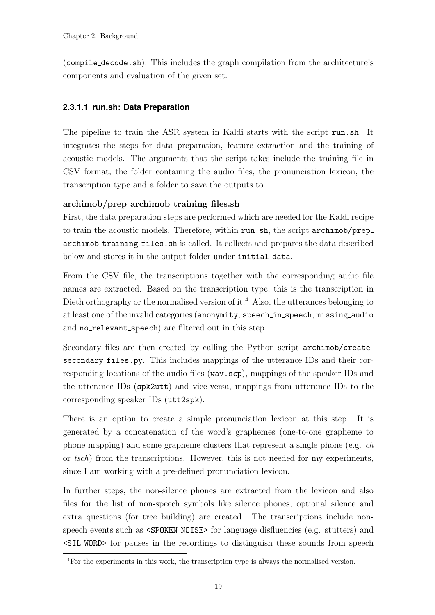(compile decode.sh). This includes the graph compilation from the architecture's components and evaluation of the given set.

#### <span id="page-27-0"></span>**2.3.1.1 run.sh: Data Preparation**

The pipeline to train the ASR system in Kaldi starts with the script run.sh. It integrates the steps for data preparation, feature extraction and the training of acoustic models. The arguments that the script takes include the training file in CSV format, the folder containing the audio files, the pronunciation lexicon, the transcription type and a folder to save the outputs to.

#### archimob/prep archimob training files.sh

First, the data preparation steps are performed which are needed for the Kaldi recipe to train the acoustic models. Therefore, within run.sh, the script archimob/prep archimob training files.sh is called. It collects and prepares the data described below and stores it in the output folder under initial\_data.

From the CSV file, the transcriptions together with the corresponding audio file names are extracted. Based on the transcription type, this is the transcription in Dieth orthography or the normalised version of it.<sup>4</sup> Also, the utterances belonging to at least one of the invalid categories (anonymity, speech\_in\_speech, missing\_audio and no\_relevant\_speech) are filtered out in this step.

Secondary files are then created by calling the Python script archimob/create secondary files.py. This includes mappings of the utterance IDs and their corresponding locations of the audio files (wav.scp), mappings of the speaker IDs and the utterance IDs (spk2utt) and vice-versa, mappings from utterance IDs to the corresponding speaker IDs (utt2spk).

There is an option to create a simple pronunciation lexicon at this step. It is generated by a concatenation of the word's graphemes (one-to-one grapheme to phone mapping) and some grapheme clusters that represent a single phone (e.g. ch or tsch) from the transcriptions. However, this is not needed for my experiments, since I am working with a pre-defined pronunciation lexicon.

In further steps, the non-silence phones are extracted from the lexicon and also files for the list of non-speech symbols like silence phones, optional silence and extra questions (for tree building) are created. The transcriptions include nonspeech events such as <SPOKEN NOISE> for language disfluencies (e.g. stutters) and <SIL WORD> for pauses in the recordings to distinguish these sounds from speech

<sup>4</sup>For the experiments in this work, the transcription type is always the normalised version.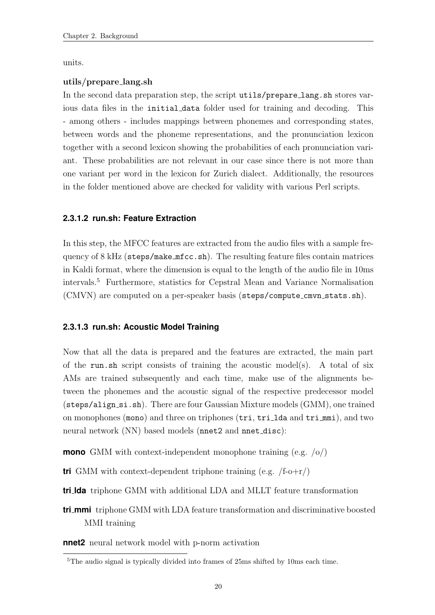units.

#### utils/prepare lang.sh

In the second data preparation step, the script utils/prepare\_lang.sh stores various data files in the initial data folder used for training and decoding. This - among others - includes mappings between phonemes and corresponding states, between words and the phoneme representations, and the pronunciation lexicon together with a second lexicon showing the probabilities of each pronunciation variant. These probabilities are not relevant in our case since there is not more than one variant per word in the lexicon for Zurich dialect. Additionally, the resources in the folder mentioned above are checked for validity with various Perl scripts.

#### <span id="page-28-0"></span>**2.3.1.2 run.sh: Feature Extraction**

In this step, the MFCC features are extracted from the audio files with a sample frequency of 8 kHz (steps/make mfcc.sh). The resulting feature files contain matrices in Kaldi format, where the dimension is equal to the length of the audio file in 10ms intervals.<sup>5</sup> Furthermore, statistics for Cepstral Mean and Variance Normalisation (CMVN) are computed on a per-speaker basis (steps/compute\_cmvn\_stats.sh).

#### <span id="page-28-1"></span>**2.3.1.3 run.sh: Acoustic Model Training**

Now that all the data is prepared and the features are extracted, the main part of the run.sh script consists of training the acoustic model(s). A total of six AMs are trained subsequently and each time, make use of the alignments between the phonemes and the acoustic signal of the respective predecessor model (steps/align si.sh). There are four Gaussian Mixture models (GMM), one trained on monophones (mono) and three on triphones (tri, tri lda and tri mmi), and two neural network (NN) based models (nnet2 and nnet\_disc):

**mono** GMM with context-independent monophone training (e.g. /o/)

**tri** GMM with context-dependent triphone training (e.g. /f-o+r/)

**tri lda** triphone GMM with additional LDA and MLLT feature transformation

**tri mmi** triphone GMM with LDA feature transformation and discriminative boosted MMI training

**nnet2** neural network model with p-norm activation

<sup>5</sup>The audio signal is typically divided into frames of 25ms shifted by 10ms each time.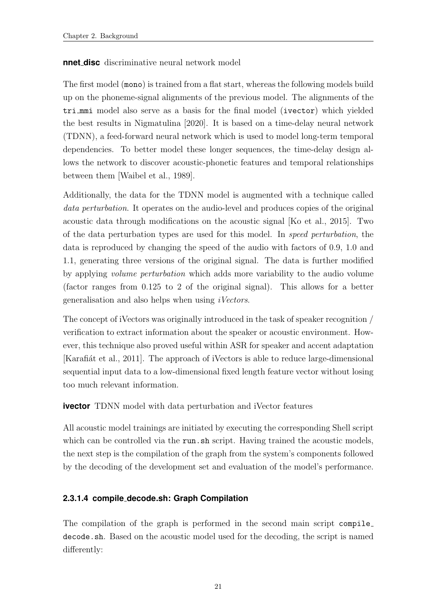#### **nnet disc** discriminative neural network model

The first model (mono) is trained from a flat start, whereas the following models build up on the phoneme-signal alignments of the previous model. The alignments of the tri mmi model also serve as a basis for the final model (ivector) which yielded the best results in [Nigmatulina](#page-66-0) [\[2020\]](#page-66-0). It is based on a time-delay neural network (TDNN), a feed-forward neural network which is used to model long-term temporal dependencies. To better model these longer sequences, the time-delay design allows the network to discover acoustic-phonetic features and temporal relationships between them [\[Waibel et al., 1989\]](#page-68-3).

Additionally, the data for the TDNN model is augmented with a technique called data perturbation. It operates on the audio-level and produces copies of the original acoustic data through modifications on the acoustic signal [\[Ko et al., 2015\]](#page-66-5). Two of the data perturbation types are used for this model. In speed perturbation, the data is reproduced by changing the speed of the audio with factors of 0.9, 1.0 and 1.1, generating three versions of the original signal. The data is further modified by applying volume perturbation which adds more variability to the audio volume (factor ranges from 0.125 to 2 of the original signal). This allows for a better generalisation and also helps when using iVectors.

The concept of iVectors was originally introduced in the task of speaker recognition / verification to extract information about the speaker or acoustic environment. However, this technique also proved useful within ASR for speaker and accent adaptation [Karafiat et al., 2011]. The approach of iVectors is able to reduce large-dimensional sequential input data to a low-dimensional fixed length feature vector without losing too much relevant information.

#### **ivector** TDNN model with data perturbation and iVector features

All acoustic model trainings are initiated by executing the corresponding Shell script which can be controlled via the run.sh script. Having trained the acoustic models, the next step is the compilation of the graph from the system's components followed by the decoding of the development set and evaluation of the model's performance.

#### <span id="page-29-0"></span>**2.3.1.4 compile decode.sh: Graph Compilation**

The compilation of the graph is performed in the second main script compile decode.sh. Based on the acoustic model used for the decoding, the script is named differently: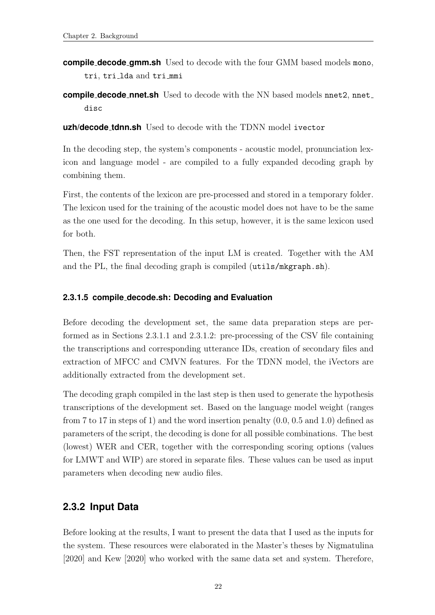**compile decode gmm.sh** Used to decode with the four GMM based models mono, tri, tri lda and tri mmi

**compile\_decode\_nnet.sh** Used to decode with the NN based models nnet2, nnet\_ disc

**uzh/decode tdnn.sh** Used to decode with the TDNN model ivector

In the decoding step, the system's components - acoustic model, pronunciation lexicon and language model - are compiled to a fully expanded decoding graph by combining them.

First, the contents of the lexicon are pre-processed and stored in a temporary folder. The lexicon used for the training of the acoustic model does not have to be the same as the one used for the decoding. In this setup, however, it is the same lexicon used for both.

Then, the FST representation of the input LM is created. Together with the AM and the PL, the final decoding graph is compiled (utils/mkgraph.sh).

#### <span id="page-30-0"></span>**2.3.1.5 compile decode.sh: Decoding and Evaluation**

Before decoding the development set, the same data preparation steps are performed as in Sections [2.3.1.1](#page-27-0) and [2.3.1.2:](#page-28-0) pre-processing of the CSV file containing the transcriptions and corresponding utterance IDs, creation of secondary files and extraction of MFCC and CMVN features. For the TDNN model, the iVectors are additionally extracted from the development set.

The decoding graph compiled in the last step is then used to generate the hypothesis transcriptions of the development set. Based on the language model weight (ranges from 7 to 17 in steps of 1) and the word insertion penalty (0.0, 0.5 and 1.0) defined as parameters of the script, the decoding is done for all possible combinations. The best (lowest) WER and CER, together with the corresponding scoring options (values for LMWT and WIP) are stored in separate files. These values can be used as input parameters when decoding new audio files.

#### <span id="page-30-1"></span>**2.3.2 Input Data**

Before looking at the results, I want to present the data that I used as the inputs for the system. These resources were elaborated in the Master's theses by [Nigmatulina](#page-66-0) [\[2020\]](#page-66-0) and [Kew](#page-65-0) [\[2020\]](#page-65-0) who worked with the same data set and system. Therefore,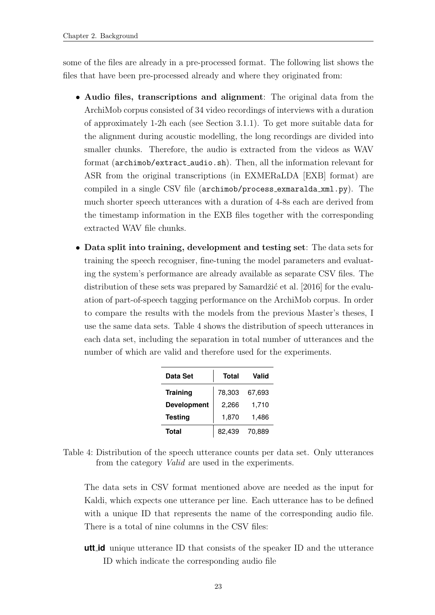some of the files are already in a pre-processed format. The following list shows the files that have been pre-processed already and where they originated from:

- Audio files, transcriptions and alignment: The original data from the ArchiMob corpus consisted of 34 video recordings of interviews with a duration of approximately 1-2h each (see Section [3.1.1\)](#page-35-2). To get more suitable data for the alignment during acoustic modelling, the long recordings are divided into smaller chunks. Therefore, the audio is extracted from the videos as WAV format (archimob/extract audio.sh). Then, all the information relevant for ASR from the original transcriptions (in EXMERaLDA [EXB] format) are compiled in a single CSV file (archimob/process exmaralda xml.py). The much shorter speech utterances with a duration of 4-8s each are derived from the timestamp information in the EXB files together with the corresponding extracted WAV file chunks.
- Data split into training, development and testing set: The data sets for training the speech recogniser, fine-tuning the model parameters and evaluating the system's performance are already available as separate CSV files. The distribution of these sets was prepared by Samardžić et al. [\[2016\]](#page-67-1) for the evaluation of part-of-speech tagging performance on the ArchiMob corpus. In order to compare the results with the models from the previous Master's theses, I use the same data sets. Table [4](#page-31-0) shows the distribution of speech utterances in each data set, including the separation in total number of utterances and the number of which are valid and therefore used for the experiments.

| Data Set           | Total  | Valid  |
|--------------------|--------|--------|
| <b>Training</b>    | 78,303 | 67,693 |
| <b>Development</b> | 2,266  | 1,710  |
| <b>Testing</b>     | 1,870  | 1,486  |
| <b>Total</b>       | 82,439 | 70,889 |

<span id="page-31-0"></span>Table 4: Distribution of the speech utterance counts per data set. Only utterances from the category Valid are used in the experiments.

The data sets in CSV format mentioned above are needed as the input for Kaldi, which expects one utterance per line. Each utterance has to be defined with a unique ID that represents the name of the corresponding audio file. There is a total of nine columns in the CSV files:

**utt id** unique utterance ID that consists of the speaker ID and the utterance ID which indicate the corresponding audio file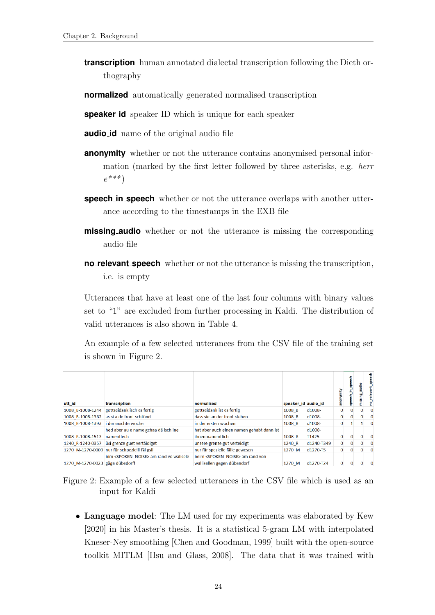- **transcription** human annotated dialectal transcription following the Dieth orthography
- **normalized** automatically generated normalised transcription
- **speaker id** speaker ID which is unique for each speaker
- **audio id** name of the original audio file
- **anonymity** whether or not the utterance contains anonymised personal information (marked by the first letter followed by three asterisks, e.g. herr  $e^{***}$
- **speech in speech** whether or not the utterance overlaps with another utterance according to the timestamps in the EXB file
- **missing audio** whether or not the utterance is missing the corresponding audio file
- **no relevant speech** whether or not the utterance is missing the transcription, i.e. is empty

Utterances that have at least one of the last four columns with binary values set to "1" are excluded from further processing in Kaldi. The distribution of valid utterances is also shown in Table [4.](#page-31-0)

An example of a few selected utterances from the CSV file of the training set is shown in Figure [2.](#page-32-0)

| utt_id                          | transcription                                      | normalized                                  | speaker id audio id |                   | anonymity    |          |              | 듛<br>no_relevant_spe |
|---------------------------------|----------------------------------------------------|---------------------------------------------|---------------------|-------------------|--------------|----------|--------------|----------------------|
| 1008 B-1008-1244                | gottseidank isch es fertig                         | gottseidank ist es fertig                   | 1008 B              | d1008-            | $\mathbf{0}$ | $\Omega$ | $\Omega$     | $\mathbf{0}$         |
| 1008 B-1008-1362                | as si a de front schtönd                           | dass sie an der front stehen                | 1008 B              | d1008-            | $\Omega$     | $\Omega$ | $\mathbf{0}$ | $\Omega$             |
| 1008 B-1008-1393                | i der erschte woche                                | in der ersten wochen                        | 1008 B              | d1008-            | $\Omega$     |          |              | $\Omega$             |
|                                 | hed aber au e name gchaa dä isch ine               | hat aber auch einen namen gehabt dann ist   |                     | d1008-            |              |          |              |                      |
| 1008 B-1008-1513                | namentlech                                         | ihnen namentlich                            | 1008 B              | T <sub>1425</sub> | $\Omega$     | $\Omega$ | $\Omega$     | $\Omega$             |
| 1240 R-1240-0357                | üsi grenze guet vertäidiget                        | unsere grenze gut verteidigt                | 1240 R              | d1240-T349        | $\mathbf{0}$ | 0        | $\mathbf{0}$ | $\mathbf{0}$         |
|                                 | 1270 M-1270-0009 nur für schpezielli fäl gsij      | nur für spezielle fälle gewesen             | 1270 M              | d1270-T5          | $\mathbf{0}$ | 0        | $\Omega$     | $\Omega$             |
|                                 | bim <spoken noise=""> am rand vo walisele</spoken> | beim <spoken noise=""> am rand von</spoken> |                     |                   |              |          |              |                      |
| 1270 M-1270-0023 gäge dübedorff |                                                    | wallisellen gegen dübendorf                 | 1270 M              | d1270-T24         | $\mathbf{0}$ | $\Omega$ | $\Omega$     | $\Omega$             |

<span id="page-32-0"></span>Figure 2: Example of a few selected utterances in the CSV file which is used as an input for Kaldi

• Language model: The LM used for my experiments was elaborated by [Kew](#page-65-0) [\[2020\]](#page-65-0) in his Master's thesis. It is a statistical 5-gram LM with interpolated Kneser-Ney smoothing [\[Chen and Goodman, 1999\]](#page-64-9) built with the open-source toolkit MITLM [\[Hsu and Glass, 2008\]](#page-65-7). The data that it was trained with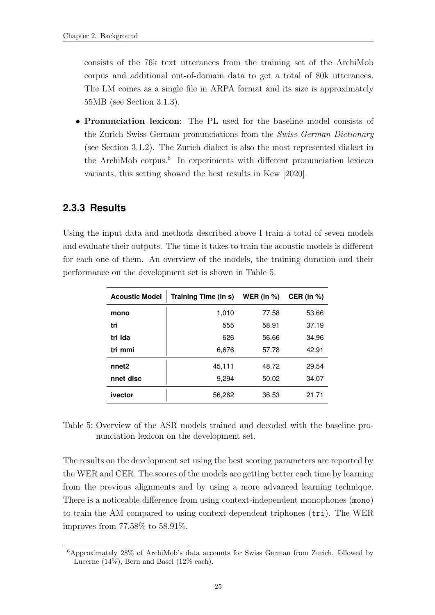consists of the 76k text utterances from the training set of the ArchiMob corpus and additional out-of-domain data to get a total of 80k utterances. The LM comes as a single file in ARPA format and its size is approximately 55MB (see Section [3.1.3\)](#page-42-0).

• Pronunciation lexicon: The PL used for the baseline model consists of the Zurich Swiss German pronunciations from the Swiss German Dictionary (see Section [3.1.2\)](#page-39-0). The Zurich dialect is also the most represented dialect in the ArchiMob corpus.<sup>6</sup> In experiments with different pronunciation lexicon variants, this setting showed the best results in [Kew](#page-65-0) [\[2020\]](#page-65-0).

### <span id="page-33-0"></span>**2.3.3 Results**

Using the input data and methods described above I train a total of seven models and evaluate their outputs. The time it takes to train the acoustic models is different for each one of them. An overview of the models, the training duration and their performance on the development set is shown in Table [5.](#page-33-1)

| <b>Acoustic Model</b> | Training Time (in s) | WER (in $%$ ) | CER (in $%$ ) |
|-----------------------|----------------------|---------------|---------------|
| mono                  | 1,010                | 77.58         | 53.66         |
| tri                   | 555                  | 58.91         | 37.19         |
| tri Ida               | 626                  | 56.66         | 34.96         |
| tri mmi               | 6,676                | 57.78         | 42.91         |
| nnet <sub>2</sub>     | 45,111               | 48.72         | 29.54         |
| nnet_disc             | 9,294                | 50.02         | 34.07         |
| ivector               | 56,262               | 36.53         | 21.71         |

<span id="page-33-1"></span>Table 5: Overview of the ASR models trained and decoded with the baseline pronunciation lexicon on the development set.

The results on the development set using the best scoring parameters are reported by the WER and CER. The scores of the models are getting better each time by learning from the previous alignments and by using a more advanced learning technique. There is a noticeable difference from using context-independent monophones (mono) to train the AM compared to using context-dependent triphones (tri). The WER improves from 77.58% to 58.91%.

<sup>6</sup>Approximately 28% of ArchiMob's data accounts for Swiss German from Zurich, followed by Lucerne (14%), Bern and Basel (12% each).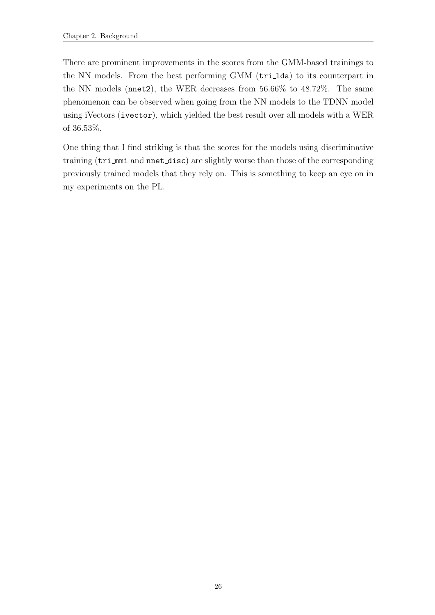There are prominent improvements in the scores from the GMM-based trainings to the NN models. From the best performing GMM (tri lda) to its counterpart in the NN models (nnet2), the WER decreases from 56.66% to 48.72%. The same phenomenon can be observed when going from the NN models to the TDNN model using iVectors (ivector), which yielded the best result over all models with a WER of 36.53%.

One thing that I find striking is that the scores for the models using discriminative training (tri mmi and nnet disc) are slightly worse than those of the corresponding previously trained models that they rely on. This is something to keep an eye on in my experiments on the PL.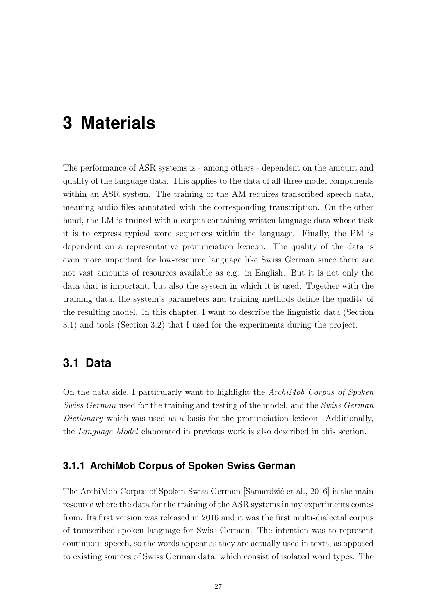# <span id="page-35-0"></span>**3 Materials**

The performance of ASR systems is - among others - dependent on the amount and quality of the language data. This applies to the data of all three model components within an ASR system. The training of the AM requires transcribed speech data, meaning audio files annotated with the corresponding transcription. On the other hand, the LM is trained with a corpus containing written language data whose task it is to express typical word sequences within the language. Finally, the PM is dependent on a representative pronunciation lexicon. The quality of the data is even more important for low-resource language like Swiss German since there are not vast amounts of resources available as e.g. in English. But it is not only the data that is important, but also the system in which it is used. Together with the training data, the system's parameters and training methods define the quality of the resulting model. In this chapter, I want to describe the linguistic data (Section [3.1\)](#page-35-1) and tools (Section [3.2\)](#page-42-1) that I used for the experiments during the project.

### <span id="page-35-1"></span>**3.1 Data**

On the data side, I particularly want to highlight the ArchiMob Corpus of Spoken Swiss German used for the training and testing of the model, and the Swiss German Dictionary which was used as a basis for the pronunciation lexicon. Additionally, the Language Model elaborated in previous work is also described in this section.

#### <span id="page-35-2"></span>**3.1.1 ArchiMob Corpus of Spoken Swiss German**

The ArchiMob Corpus of Spoken Swiss German [Samardžić et al., 2016] is the main resource where the data for the training of the ASR systems in my experiments comes from. Its first version was released in 2016 and it was the first multi-dialectal corpus of transcribed spoken language for Swiss German. The intention was to represent continuous speech, so the words appear as they are actually used in texts, as opposed to existing sources of Swiss German data, which consist of isolated word types. The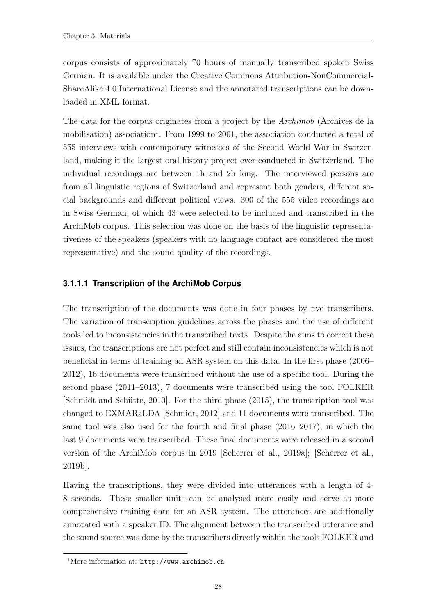corpus consists of approximately 70 hours of manually transcribed spoken Swiss German. It is available under the Creative Commons Attribution-NonCommercial-ShareAlike 4.0 International License and the annotated transcriptions can be downloaded in XML format.

The data for the corpus originates from a project by the Archimob (Archives de la mobilisation) association<sup>1</sup>. From 1999 to 2001, the association conducted a total of 555 interviews with contemporary witnesses of the Second World War in Switzerland, making it the largest oral history project ever conducted in Switzerland. The individual recordings are between 1h and 2h long. The interviewed persons are from all linguistic regions of Switzerland and represent both genders, different social backgrounds and different political views. 300 of the 555 video recordings are in Swiss German, of which 43 were selected to be included and transcribed in the ArchiMob corpus. This selection was done on the basis of the linguistic representativeness of the speakers (speakers with no language contact are considered the most representative) and the sound quality of the recordings.

#### <span id="page-36-0"></span>**3.1.1.1 Transcription of the ArchiMob Corpus**

The transcription of the documents was done in four phases by five transcribers. The variation of transcription guidelines across the phases and the use of different tools led to inconsistencies in the transcribed texts. Despite the aims to correct these issues, the transcriptions are not perfect and still contain inconsistencies which is not beneficial in terms of training an ASR system on this data. In the first phase (2006– 2012), 16 documents were transcribed without the use of a specific tool. During the second phase (2011–2013), 7 documents were transcribed using the tool FOLKER [Schmidt and Schütte, 2010]. For the third phase (2015), the transcription tool was changed to EXMARaLDA [\[Schmidt, 2012\]](#page-67-3) and 11 documents were transcribed. The same tool was also used for the fourth and final phase (2016–2017), in which the last 9 documents were transcribed. These final documents were released in a second version of the ArchiMob corpus in 2019 [\[Scherrer et al., 2019a\]](#page-67-4); [\[Scherrer et al.,](#page-67-5) [2019b\]](#page-67-5).

Having the transcriptions, they were divided into utterances with a length of 4- 8 seconds. These smaller units can be analysed more easily and serve as more comprehensive training data for an ASR system. The utterances are additionally annotated with a speaker ID. The alignment between the transcribed utterance and the sound source was done by the transcribers directly within the tools FOLKER and

<sup>1</sup>More information at: <http://www.archimob.ch>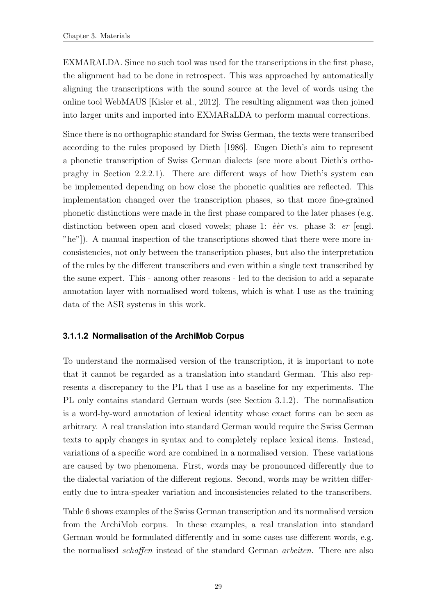EXMARALDA. Since no such tool was used for the transcriptions in the first phase, the alignment had to be done in retrospect. This was approached by automatically aligning the transcriptions with the sound source at the level of words using the online tool WebMAUS [\[Kisler et al., 2012\]](#page-65-8). The resulting alignment was then joined into larger units and imported into EXMARaLDA to perform manual corrections.

Since there is no orthographic standard for Swiss German, the texts were transcribed according to the rules proposed by [Dieth](#page-64-5) [\[1986\]](#page-64-5). Eugen Dieth's aim to represent a phonetic transcription of Swiss German dialects (see more about Dieth's orthopraghy in Section [2.2.2.1\)](#page-19-0). There are different ways of how Dieth's system can be implemented depending on how close the phonetic qualities are reflected. This implementation changed over the transcription phases, so that more fine-grained phonetic distinctions were made in the first phase compared to the later phases (e.g. distinction between open and closed vowels; phase 1:  $\dot{e}$  er vs. phase 3: er [engl. "he"]). A manual inspection of the transcriptions showed that there were more inconsistencies, not only between the transcription phases, but also the interpretation of the rules by the different transcribers and even within a single text transcribed by the same expert. This - among other reasons - led to the decision to add a separate annotation layer with normalised word tokens, which is what I use as the training data of the ASR systems in this work.

#### <span id="page-37-0"></span>**3.1.1.2 Normalisation of the ArchiMob Corpus**

To understand the normalised version of the transcription, it is important to note that it cannot be regarded as a translation into standard German. This also represents a discrepancy to the PL that I use as a baseline for my experiments. The PL only contains standard German words (see Section [3.1.2\)](#page-39-0). The normalisation is a word-by-word annotation of lexical identity whose exact forms can be seen as arbitrary. A real translation into standard German would require the Swiss German texts to apply changes in syntax and to completely replace lexical items. Instead, variations of a specific word are combined in a normalised version. These variations are caused by two phenomena. First, words may be pronounced differently due to the dialectal variation of the different regions. Second, words may be written differently due to intra-speaker variation and inconsistencies related to the transcribers.

Table [6](#page-38-0) shows examples of the Swiss German transcription and its normalised version from the ArchiMob corpus. In these examples, a real translation into standard German would be formulated differently and in some cases use different words, e.g. the normalised schaffen instead of the standard German arbeiten. There are also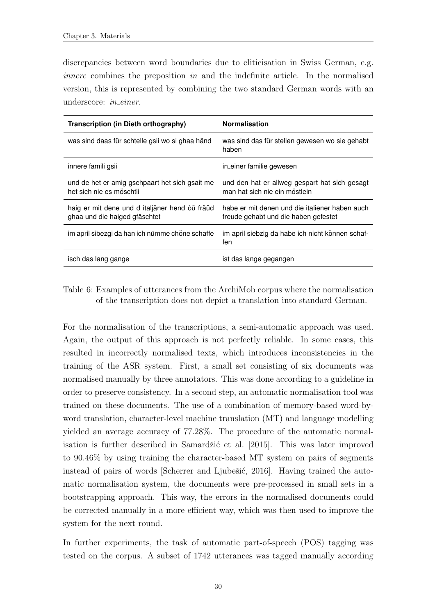discrepancies between word boundaries due to cliticisation in Swiss German, e.g. innere combines the preposition in and the indefinite article. In the normalised version, this is represented by combining the two standard German words with an underscore: *in\_einer*.

| Transcription (in Dieth orthography)                                            | <b>Normalisation</b>                                                                   |
|---------------------------------------------------------------------------------|----------------------------------------------------------------------------------------|
| was sind daas für schtelle gsij wo si ghaa händ                                 | was sind das für stellen gewesen wo sie gehabt<br>haben                                |
| innere famili gsii                                                              | in_einer familie gewesen                                                               |
| und de het er amig gschpaart het sich gsait me<br>het sich nie es möschtli      | und den hat er allweg gespart hat sich gesagt<br>man hat sich nie ein möstlein         |
| haig er mit dene und d italjäner hend òü fräüd<br>ghaa und die haiged gfäschtet | habe er mit denen und die italiener haben auch<br>freude gehabt und die haben gefestet |
| im april sibezgi da han ich nümme chöne schaffe                                 | im april siebzig da habe ich nicht können schaf-<br>fen                                |
| isch das lang gange                                                             | ist das lange gegangen                                                                 |

<span id="page-38-0"></span>Table 6: Examples of utterances from the ArchiMob corpus where the normalisation of the transcription does not depict a translation into standard German.

For the normalisation of the transcriptions, a semi-automatic approach was used. Again, the output of this approach is not perfectly reliable. In some cases, this resulted in incorrectly normalised texts, which introduces inconsistencies in the training of the ASR system. First, a small set consisting of six documents was normalised manually by three annotators. This was done according to a guideline in order to preserve consistency. In a second step, an automatic normalisation tool was trained on these documents. The use of a combination of memory-based word-byword translation, character-level machine translation (MT) and language modelling yielded an average accuracy of 77.28%. The procedure of the automatic normalisation is further described in Samardžić et al.  $[2015]$ . This was later improved to 90.46% by using training the character-based MT system on pairs of segments instead of pairs of words [Scherrer and Ljubešić, 2016]. Having trained the automatic normalisation system, the documents were pre-processed in small sets in a bootstrapping approach. This way, the errors in the normalised documents could be corrected manually in a more efficient way, which was then used to improve the system for the next round.

In further experiments, the task of automatic part-of-speech (POS) tagging was tested on the corpus. A subset of 1742 utterances was tagged manually according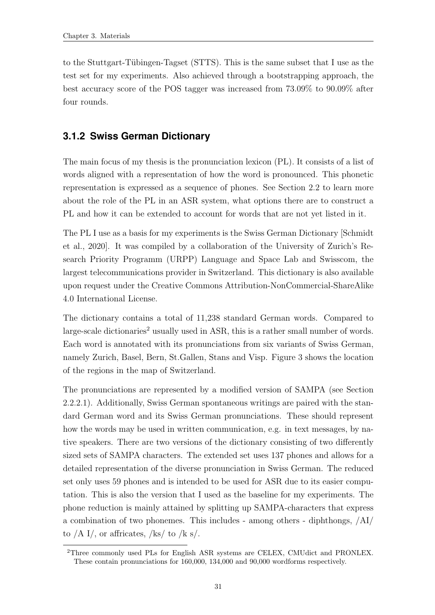to the Stuttgart-Tübingen-Tagset (STTS). This is the same subset that I use as the test set for my experiments. Also achieved through a bootstrapping approach, the best accuracy score of the POS tagger was increased from 73.09% to 90.09% after four rounds.

### <span id="page-39-0"></span>**3.1.2 Swiss German Dictionary**

The main focus of my thesis is the pronunciation lexicon (PL). It consists of a list of words aligned with a representation of how the word is pronounced. This phonetic representation is expressed as a sequence of phones. See Section [2.2](#page-16-1) to learn more about the role of the PL in an ASR system, what options there are to construct a PL and how it can be extended to account for words that are not yet listed in it.

The PL I use as a basis for my experiments is the Swiss German Dictionary [\[Schmidt](#page-67-7) [et al., 2020\]](#page-67-7). It was compiled by a collaboration of the University of Zurich's Research Priority Programm (URPP) Language and Space Lab and Swisscom, the largest telecommunications provider in Switzerland. This dictionary is also available upon request under the Creative Commons Attribution-NonCommercial-ShareAlike 4.0 International License.

The dictionary contains a total of 11,238 standard German words. Compared to  $large-scale dictionaries<sup>2</sup> usually used in ASR, this is a rather small number of words.$ Each word is annotated with its pronunciations from six variants of Swiss German, namely Zurich, Basel, Bern, St.Gallen, Stans and Visp. Figure [3](#page-40-1) shows the location of the regions in the map of Switzerland.

The pronunciations are represented by a modified version of SAMPA (see Section [2.2.2.1\)](#page-19-0). Additionally, Swiss German spontaneous writings are paired with the standard German word and its Swiss German pronunciations. These should represent how the words may be used in written communication, e.g. in text messages, by native speakers. There are two versions of the dictionary consisting of two differently sized sets of SAMPA characters. The extended set uses 137 phones and allows for a detailed representation of the diverse pronunciation in Swiss German. The reduced set only uses 59 phones and is intended to be used for ASR due to its easier computation. This is also the version that I used as the baseline for my experiments. The phone reduction is mainly attained by splitting up SAMPA-characters that express a combination of two phonemes. This includes - among others - diphthongs, /AI/ to  $/A$  I/, or affricates,  $/$ ks/ to  $/$ k s/.

<sup>2</sup>Three commonly used PLs for English ASR systems are CELEX, CMUdict and PRONLEX. These contain pronunciations for 160,000, 134,000 and 90,000 wordforms respectively.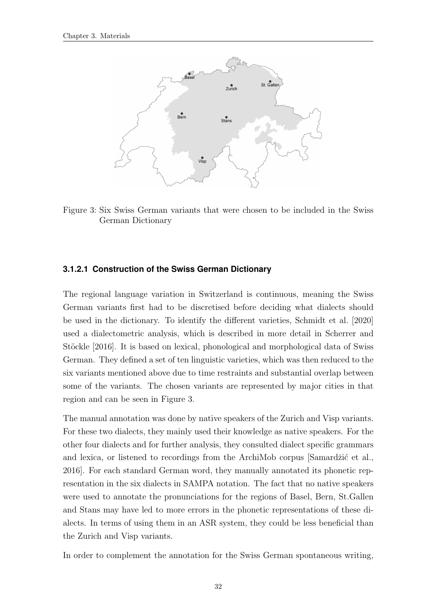

<span id="page-40-1"></span>Figure 3: Six Swiss German variants that were chosen to be included in the Swiss German Dictionary

#### <span id="page-40-0"></span>**3.1.2.1 Construction of the Swiss German Dictionary**

The regional language variation in Switzerland is continuous, meaning the Swiss German variants first had to be discretised before deciding what dialects should be used in the dictionary. To identify the different varieties, [Schmidt et al.](#page-67-7) [\[2020\]](#page-67-7) used a dialectometric analysis, which is described in more detail in [Scherrer and](#page-67-8) Stöckle [\[2016\]](#page-67-8). It is based on lexical, phonological and morphological data of Swiss German. They defined a set of ten linguistic varieties, which was then reduced to the six variants mentioned above due to time restraints and substantial overlap between some of the variants. The chosen variants are represented by major cities in that region and can be seen in Figure [3.](#page-40-1)

The manual annotation was done by native speakers of the Zurich and Visp variants. For these two dialects, they mainly used their knowledge as native speakers. For the other four dialects and for further analysis, they consulted dialect specific grammars and lexica, or listened to recordings from the ArchiMob corpus [Samardžić et al., [2016\]](#page-67-1). For each standard German word, they manually annotated its phonetic representation in the six dialects in SAMPA notation. The fact that no native speakers were used to annotate the pronunciations for the regions of Basel, Bern, St.Gallen and Stans may have led to more errors in the phonetic representations of these dialects. In terms of using them in an ASR system, they could be less beneficial than the Zurich and Visp variants.

In order to complement the annotation for the Swiss German spontaneous writing,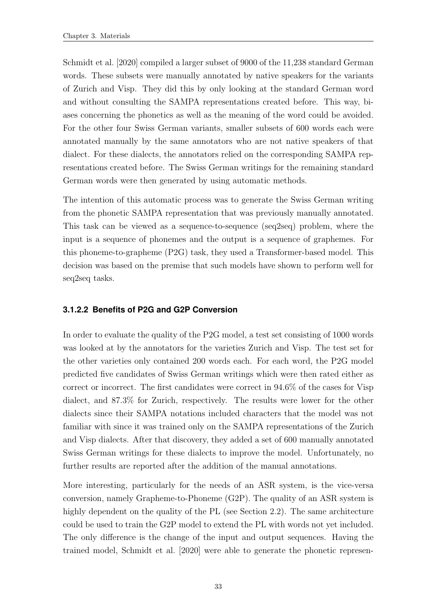[Schmidt et al.](#page-67-7) [\[2020\]](#page-67-7) compiled a larger subset of 9000 of the 11,238 standard German words. These subsets were manually annotated by native speakers for the variants of Zurich and Visp. They did this by only looking at the standard German word and without consulting the SAMPA representations created before. This way, biases concerning the phonetics as well as the meaning of the word could be avoided. For the other four Swiss German variants, smaller subsets of 600 words each were annotated manually by the same annotators who are not native speakers of that dialect. For these dialects, the annotators relied on the corresponding SAMPA representations created before. The Swiss German writings for the remaining standard German words were then generated by using automatic methods.

The intention of this automatic process was to generate the Swiss German writing from the phonetic SAMPA representation that was previously manually annotated. This task can be viewed as a sequence-to-sequence (seq2seq) problem, where the input is a sequence of phonemes and the output is a sequence of graphemes. For this phoneme-to-grapheme (P2G) task, they used a Transformer-based model. This decision was based on the premise that such models have shown to perform well for seq2seq tasks.

#### <span id="page-41-0"></span>**3.1.2.2 Benefits of P2G and G2P Conversion**

In order to evaluate the quality of the P2G model, a test set consisting of 1000 words was looked at by the annotators for the varieties Zurich and Visp. The test set for the other varieties only contained 200 words each. For each word, the P2G model predicted five candidates of Swiss German writings which were then rated either as correct or incorrect. The first candidates were correct in 94.6% of the cases for Visp dialect, and 87.3% for Zurich, respectively. The results were lower for the other dialects since their SAMPA notations included characters that the model was not familiar with since it was trained only on the SAMPA representations of the Zurich and Visp dialects. After that discovery, they added a set of 600 manually annotated Swiss German writings for these dialects to improve the model. Unfortunately, no further results are reported after the addition of the manual annotations.

More interesting, particularly for the needs of an ASR system, is the vice-versa conversion, namely Grapheme-to-Phoneme (G2P). The quality of an ASR system is highly dependent on the quality of the PL (see Section [2.2\)](#page-16-1). The same architecture could be used to train the G2P model to extend the PL with words not yet included. The only difference is the change of the input and output sequences. Having the trained model, [Schmidt et al.](#page-67-7) [\[2020\]](#page-67-7) were able to generate the phonetic represen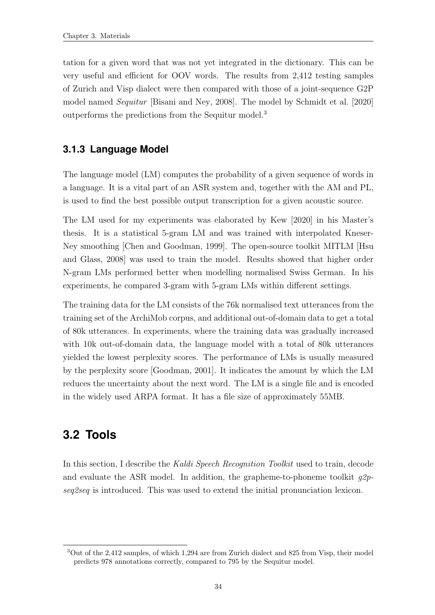tation for a given word that was not yet integrated in the dictionary. This can be very useful and efficient for OOV words. The results from 2,412 testing samples of Zurich and Visp dialect were then compared with those of a joint-sequence G2P model named Sequitur [\[Bisani and Ney, 2008\]](#page-64-10). The model by [Schmidt et al.](#page-67-7) [\[2020\]](#page-67-7) outperforms the predictions from the Sequitur model.<sup>3</sup>

### <span id="page-42-0"></span>**3.1.3 Language Model**

The language model (LM) computes the probability of a given sequence of words in a language. It is a vital part of an ASR system and, together with the AM and PL, is used to find the best possible output transcription for a given acoustic source.

The LM used for my experiments was elaborated by [Kew](#page-65-0) [\[2020\]](#page-65-0) in his Master's thesis. It is a statistical 5-gram LM and was trained with interpolated Kneser-Ney smoothing [\[Chen and Goodman, 1999\]](#page-64-9). The open-source toolkit MITLM [\[Hsu](#page-65-7) [and Glass, 2008\]](#page-65-7) was used to train the model. Results showed that higher order N-gram LMs performed better when modelling normalised Swiss German. In his experiments, he compared 3-gram with 5-gram LMs within different settings.

The training data for the LM consists of the 76k normalised text utterances from the training set of the ArchiMob corpus, and additional out-of-domain data to get a total of 80k utterances. In experiments, where the training data was gradually increased with 10k out-of-domain data, the language model with a total of 80k utterances yielded the lowest perplexity scores. The performance of LMs is usually measured by the perplexity score [\[Goodman, 2001\]](#page-64-11). It indicates the amount by which the LM reduces the uncertainty about the next word. The LM is a single file and is encoded in the widely used ARPA format. It has a file size of approximately 55MB.

## <span id="page-42-1"></span>**3.2 Tools**

In this section, I describe the Kaldi Speech Recognition Toolkit used to train, decode and evaluate the ASR model. In addition, the grapheme-to-phoneme toolkit  $q2p$ seq2seq is introduced. This was used to extend the initial pronunciation lexicon.

<sup>3</sup>Out of the 2,412 samples, of which 1,294 are from Zurich dialect and 825 from Visp, their model predicts 978 annotations correctly, compared to 795 by the Sequitur model.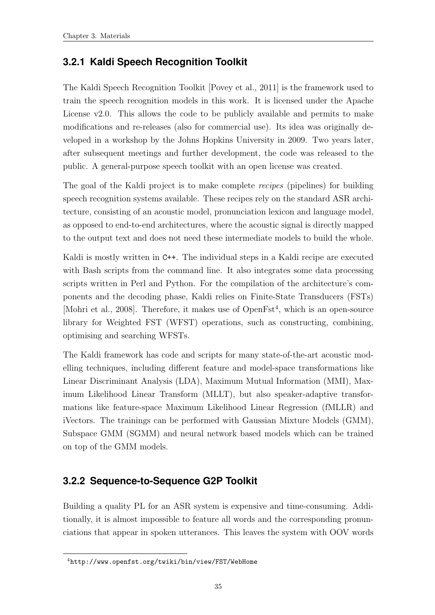### <span id="page-43-0"></span>**3.2.1 Kaldi Speech Recognition Toolkit**

The Kaldi Speech Recognition Toolkit [\[Povey et al., 2011\]](#page-66-7) is the framework used to train the speech recognition models in this work. It is licensed under the Apache License v2.0. This allows the code to be publicly available and permits to make modifications and re-releases (also for commercial use). Its idea was originally developed in a workshop by the Johns Hopkins University in 2009. Two years later, after subsequent meetings and further development, the code was released to the public. A general-purpose speech toolkit with an open license was created.

The goal of the Kaldi project is to make complete recipes (pipelines) for building speech recognition systems available. These recipes rely on the standard ASR architecture, consisting of an acoustic model, pronunciation lexicon and language model, as opposed to end-to-end architectures, where the acoustic signal is directly mapped to the output text and does not need these intermediate models to build the whole.

Kaldi is mostly written in C++. The individual steps in a Kaldi recipe are executed with Bash scripts from the command line. It also integrates some data processing scripts written in Perl and Python. For the compilation of the architecture's components and the decoding phase, Kaldi relies on Finite-State Transducers (FSTs) [\[Mohri et al., 2008\]](#page-66-8). Therefore, it makes use of  $OpenFst<sup>4</sup>$ , which is an open-source library for Weighted FST (WFST) operations, such as constructing, combining, optimising and searching WFSTs.

The Kaldi framework has code and scripts for many state-of-the-art acoustic modelling techniques, including different feature and model-space transformations like Linear Discriminant Analysis (LDA), Maximum Mutual Information (MMI), Maximum Likelihood Linear Transform (MLLT), but also speaker-adaptive transformations like feature-space Maximum Likelihood Linear Regression (fMLLR) and iVectors. The trainings can be performed with Gaussian Mixture Models (GMM), Subspace GMM (SGMM) and neural network based models which can be trained on top of the GMM models.

### <span id="page-43-1"></span>**3.2.2 Sequence-to-Sequence G2P Toolkit**

Building a quality PL for an ASR system is expensive and time-consuming. Additionally, it is almost impossible to feature all words and the corresponding pronunciations that appear in spoken utterances. This leaves the system with OOV words

<sup>4</sup><http://www.openfst.org/twiki/bin/view/FST/WebHome>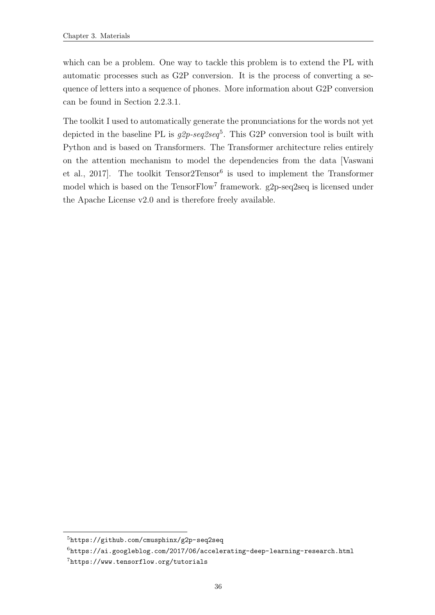which can be a problem. One way to tackle this problem is to extend the PL with automatic processes such as G2P conversion. It is the process of converting a sequence of letters into a sequence of phones. More information about G2P conversion can be found in Section [2.2.3.1.](#page-24-1)

The toolkit I used to automatically generate the pronunciations for the words not yet depicted in the baseline PL is  $g2p\text{-}seq2seq^5$ . This G2P conversion tool is built with Python and is based on Transformers. The Transformer architecture relies entirely on the attention mechanism to model the dependencies from the data [\[Vaswani](#page-68-2) et al., 2017. The toolkit  $Tensor^6$  is used to implement the Transformer model which is based on the TensorFlow<sup>7</sup> framework. g2p-seq2seq is licensed under the Apache License v2.0 and is therefore freely available.

<sup>5</sup><https://github.com/cmusphinx/g2p-seq2seq>

 $6$ <https://ai.googleblog.com/2017/06/accelerating-deep-learning-research.html>

<sup>7</sup><https://www.tensorflow.org/tutorials>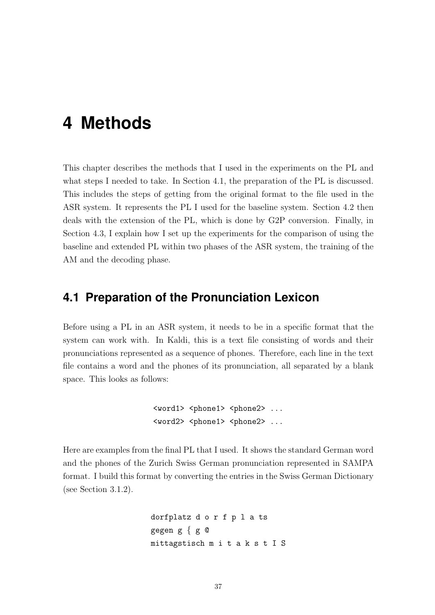## <span id="page-45-0"></span>**4 Methods**

This chapter describes the methods that I used in the experiments on the PL and what steps I needed to take. In Section [4.1,](#page-45-1) the preparation of the PL is discussed. This includes the steps of getting from the original format to the file used in the ASR system. It represents the PL I used for the baseline system. Section [4.2](#page-48-0) then deals with the extension of the PL, which is done by G2P conversion. Finally, in Section [4.3,](#page-50-0) I explain how I set up the experiments for the comparison of using the baseline and extended PL within two phases of the ASR system, the training of the AM and the decoding phase.

### <span id="page-45-1"></span>**4.1 Preparation of the Pronunciation Lexicon**

Before using a PL in an ASR system, it needs to be in a specific format that the system can work with. In Kaldi, this is a text file consisting of words and their pronunciations represented as a sequence of phones. Therefore, each line in the text file contains a word and the phones of its pronunciation, all separated by a blank space. This looks as follows:

```
<word1> <phone1> <phone2> ...
<word2> <phone1> <phone2> ...
```
Here are examples from the final PL that I used. It shows the standard German word and the phones of the Zurich Swiss German pronunciation represented in SAMPA format. I build this format by converting the entries in the Swiss German Dictionary (see Section [3.1.2\)](#page-39-0).

```
dorfplatz d o r f p l a ts
gegen g { g @
mittagstisch m i t a k s t I S
```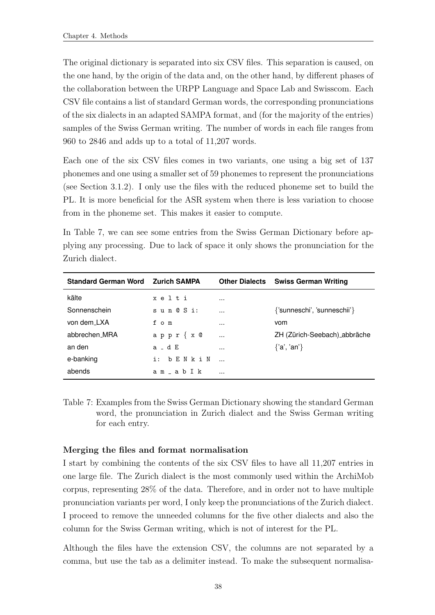The original dictionary is separated into six CSV files. This separation is caused, on the one hand, by the origin of the data and, on the other hand, by different phases of the collaboration between the URPP Language and Space Lab and Swisscom. Each CSV file contains a list of standard German words, the corresponding pronunciations of the six dialects in an adapted SAMPA format, and (for the majority of the entries) samples of the Swiss German writing. The number of words in each file ranges from 960 to 2846 and adds up to a total of 11,207 words.

Each one of the six CSV files comes in two variants, one using a big set of 137 phonemes and one using a smaller set of 59 phonemes to represent the pronunciations (see Section [3.1.2\)](#page-39-0). I only use the files with the reduced phoneme set to build the PL. It is more beneficial for the ASR system when there is less variation to choose from in the phoneme set. This makes it easier to compute.

In Table [7,](#page-46-0) we can see some entries from the Swiss German Dictionary before applying any processing. Due to lack of space it only shows the pronunciation for the Zurich dialect.

| <b>Standard German Word</b> | <b>Zurich SAMPA</b> |          | <b>Other Dialects Swiss German Writing</b> |
|-----------------------------|---------------------|----------|--------------------------------------------|
| kälte                       | xelti               |          |                                            |
| Sonnenschein                | sun@Si:             | $\cdots$ | {'sunneschi', 'sunneschii'}                |
| von dem_LXA                 | fom                 | $\cdots$ | vom                                        |
| abbrechen MRA               | $appr {x @$         | $\cdots$ | ZH (Zürich-Seebach)_abbräche               |
| an den                      | $a - d E$           |          | $\{a', 'an'\}$                             |
| e-banking                   | bENkiN<br>i:        |          |                                            |
| abends                      | am ab I k           |          |                                            |

<span id="page-46-0"></span>Table 7: Examples from the Swiss German Dictionary showing the standard German word, the pronunciation in Zurich dialect and the Swiss German writing for each entry.

#### Merging the files and format normalisation

I start by combining the contents of the six CSV files to have all 11,207 entries in one large file. The Zurich dialect is the most commonly used within the ArchiMob corpus, representing 28% of the data. Therefore, and in order not to have multiple pronunciation variants per word, I only keep the pronunciations of the Zurich dialect. I proceed to remove the unneeded columns for the five other dialects and also the column for the Swiss German writing, which is not of interest for the PL.

Although the files have the extension CSV, the columns are not separated by a comma, but use the tab as a delimiter instead. To make the subsequent normalisa-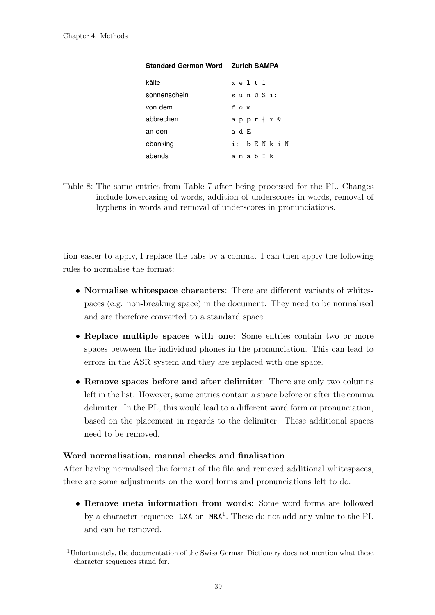| <b>Standard German Word Zurich SAMPA</b> |                 |
|------------------------------------------|-----------------|
| kälte                                    | xelti           |
| sonnenschein                             | sun@Si:         |
| von dem                                  | f o m           |
| abbrechen                                | appr{x @        |
| an den                                   | аdЕ             |
| ebanking                                 | i: b F. N k i N |
| abends                                   | amab Tk         |

<span id="page-47-0"></span>Table 8: The same entries from Table [7](#page-46-0) after being processed for the PL. Changes include lowercasing of words, addition of underscores in words, removal of hyphens in words and removal of underscores in pronunciations.

tion easier to apply, I replace the tabs by a comma. I can then apply the following rules to normalise the format:

- Normalise whitespace characters: There are different variants of whitespaces (e.g. non-breaking space) in the document. They need to be normalised and are therefore converted to a standard space.
- Replace multiple spaces with one: Some entries contain two or more spaces between the individual phones in the pronunciation. This can lead to errors in the ASR system and they are replaced with one space.
- Remove spaces before and after delimiter: There are only two columns left in the list. However, some entries contain a space before or after the comma delimiter. In the PL, this would lead to a different word form or pronunciation, based on the placement in regards to the delimiter. These additional spaces need to be removed.

#### Word normalisation, manual checks and finalisation

After having normalised the format of the file and removed additional whitespaces, there are some adjustments on the word forms and pronunciations left to do.

• Remove meta information from words: Some word forms are followed by a character sequence LXA or MRA<sup>1</sup>. These do not add any value to the PL and can be removed.

<sup>1</sup>Unfortunately, the documentation of the Swiss German Dictionary does not mention what these character sequences stand for.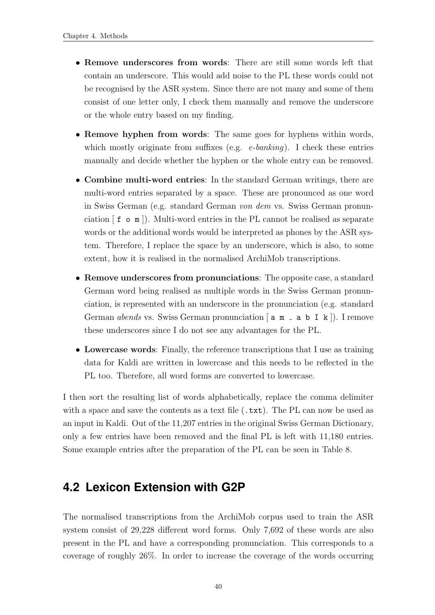- Remove underscores from words: There are still some words left that contain an underscore. This would add noise to the PL these words could not be recognised by the ASR system. Since there are not many and some of them consist of one letter only, I check them manually and remove the underscore or the whole entry based on my finding.
- Remove hyphen from words: The same goes for hyphens within words, which mostly originate from suffixes (e.g.  $e$ -banking). I check these entries manually and decide whether the hyphen or the whole entry can be removed.
- Combine multi-word entries: In the standard German writings, there are multi-word entries separated by a space. These are pronounced as one word in Swiss German (e.g. standard German von dem vs. Swiss German pronunciation [ f o m ]). Multi-word entries in the PL cannot be realised as separate words or the additional words would be interpreted as phones by the ASR system. Therefore, I replace the space by an underscore, which is also, to some extent, how it is realised in the normalised ArchiMob transcriptions.
- Remove underscores from pronunciations: The opposite case, a standard German word being realised as multiple words in the Swiss German pronunciation, is represented with an underscore in the pronunciation (e.g. standard German *abends* vs. Swiss German pronunciation  $\begin{bmatrix} a & m \\ a & m \end{bmatrix}$  a b I k  $\begin{bmatrix} \end{bmatrix}$ . I remove these underscores since I do not see any advantages for the PL.
- Lowercase words: Finally, the reference transcriptions that I use as training data for Kaldi are written in lowercase and this needs to be reflected in the PL too. Therefore, all word forms are converted to lowercase.

I then sort the resulting list of words alphabetically, replace the comma delimiter with a space and save the contents as a text file  $(\cdot, \text{txt})$ . The PL can now be used as an input in Kaldi. Out of the 11,207 entries in the original Swiss German Dictionary, only a few entries have been removed and the final PL is left with 11,180 entries. Some example entries after the preparation of the PL can be seen in Table [8.](#page-47-0)

## <span id="page-48-0"></span>**4.2 Lexicon Extension with G2P**

The normalised transcriptions from the ArchiMob corpus used to train the ASR system consist of 29,228 different word forms. Only 7,692 of these words are also present in the PL and have a corresponding pronunciation. This corresponds to a coverage of roughly 26%. In order to increase the coverage of the words occurring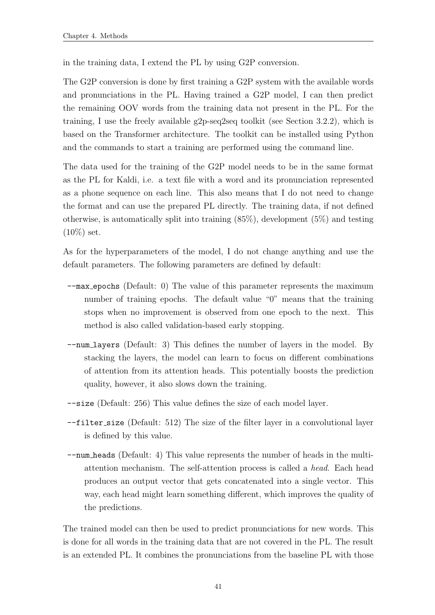in the training data, I extend the PL by using G2P conversion.

The G2P conversion is done by first training a G2P system with the available words and pronunciations in the PL. Having trained a G2P model, I can then predict the remaining OOV words from the training data not present in the PL. For the training, I use the freely available g2p-seq2seq toolkit (see Section [3.2.2\)](#page-43-1), which is based on the Transformer architecture. The toolkit can be installed using Python and the commands to start a training are performed using the command line.

The data used for the training of the G2P model needs to be in the same format as the PL for Kaldi, i.e. a text file with a word and its pronunciation represented as a phone sequence on each line. This also means that I do not need to change the format and can use the prepared PL directly. The training data, if not defined otherwise, is automatically split into training  $(85\%)$ , development  $(5\%)$  and testing  $(10\%)$  set.

As for the hyperparameters of the model, I do not change anything and use the default parameters. The following parameters are defined by default:

- --max epochs (Default: 0) The value of this parameter represents the maximum number of training epochs. The default value "0" means that the training stops when no improvement is observed from one epoch to the next. This method is also called validation-based early stopping.
- --num layers (Default: 3) This defines the number of layers in the model. By stacking the layers, the model can learn to focus on different combinations of attention from its attention heads. This potentially boosts the prediction quality, however, it also slows down the training.
- --size (Default: 256) This value defines the size of each model layer.
- --filter size (Default: 512) The size of the filter layer in a convolutional layer is defined by this value.
- --num heads (Default: 4) This value represents the number of heads in the multiattention mechanism. The self-attention process is called a head. Each head produces an output vector that gets concatenated into a single vector. This way, each head might learn something different, which improves the quality of the predictions.

The trained model can then be used to predict pronunciations for new words. This is done for all words in the training data that are not covered in the PL. The result is an extended PL. It combines the pronunciations from the baseline PL with those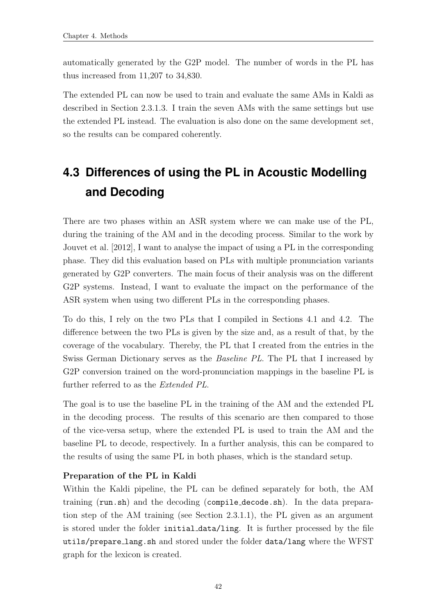automatically generated by the G2P model. The number of words in the PL has thus increased from 11,207 to 34,830.

The extended PL can now be used to train and evaluate the same AMs in Kaldi as described in Section [2.3.1.3.](#page-28-1) I train the seven AMs with the same settings but use the extended PL instead. The evaluation is also done on the same development set, so the results can be compared coherently.

## <span id="page-50-0"></span>**4.3 Differences of using the PL in Acoustic Modelling and Decoding**

There are two phases within an ASR system where we can make use of the PL, during the training of the AM and in the decoding process. Similar to the work by [Jouvet et al.](#page-65-1) [\[2012\]](#page-65-1), I want to analyse the impact of using a PL in the corresponding phase. They did this evaluation based on PLs with multiple pronunciation variants generated by G2P converters. The main focus of their analysis was on the different G2P systems. Instead, I want to evaluate the impact on the performance of the ASR system when using two different PLs in the corresponding phases.

To do this, I rely on the two PLs that I compiled in Sections [4.1](#page-45-1) and [4.2.](#page-48-0) The difference between the two PLs is given by the size and, as a result of that, by the coverage of the vocabulary. Thereby, the PL that I created from the entries in the Swiss German Dictionary serves as the Baseline PL. The PL that I increased by G2P conversion trained on the word-pronunciation mappings in the baseline PL is further referred to as the Extended PL.

The goal is to use the baseline PL in the training of the AM and the extended PL in the decoding process. The results of this scenario are then compared to those of the vice-versa setup, where the extended PL is used to train the AM and the baseline PL to decode, respectively. In a further analysis, this can be compared to the results of using the same PL in both phases, which is the standard setup.

#### Preparation of the PL in Kaldi

Within the Kaldi pipeline, the PL can be defined separately for both, the AM training (run.sh) and the decoding (compile decode.sh). In the data preparation step of the AM training (see Section [2.3.1.1\)](#page-27-0), the PL given as an argument is stored under the folder initial data/ling. It is further processed by the file utils/prepare lang.sh and stored under the folder data/lang where the WFST graph for the lexicon is created.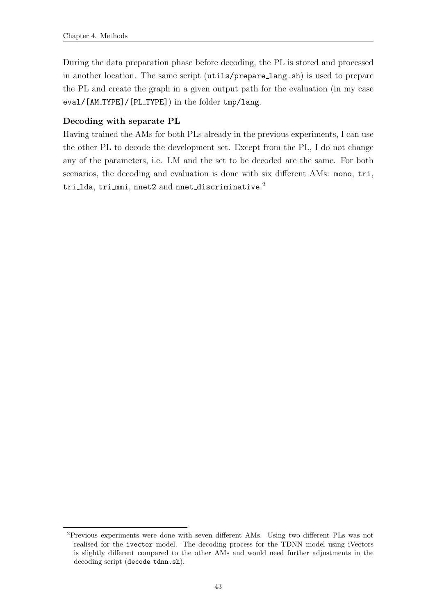During the data preparation phase before decoding, the PL is stored and processed in another location. The same script (utils/prepare lang.sh) is used to prepare the PL and create the graph in a given output path for the evaluation (in my case eval/[AM\_TYPE]/[PL\_TYPE]) in the folder tmp/lang.

#### Decoding with separate PL

Having trained the AMs for both PLs already in the previous experiments, I can use the other PL to decode the development set. Except from the PL, I do not change any of the parameters, i.e. LM and the set to be decoded are the same. For both scenarios, the decoding and evaluation is done with six different AMs: mono, tri, tri\_1da, tri\_mmi, nnet2 and nnet\_discriminative. $^2$ 

<sup>2</sup>Previous experiments were done with seven different AMs. Using two different PLs was not realised for the ivector model. The decoding process for the TDNN model using iVectors is slightly different compared to the other AMs and would need further adjustments in the decoding script (decode\_tdnn.sh).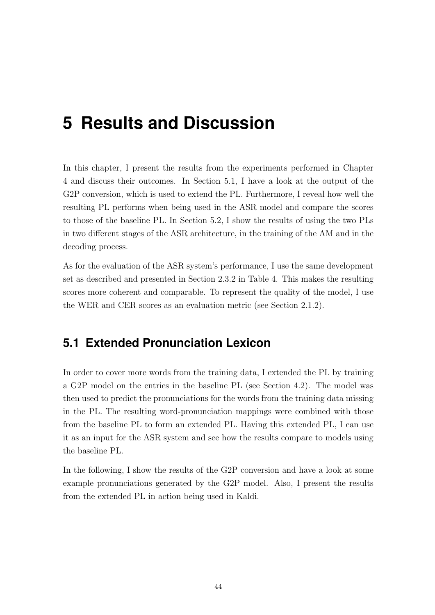# <span id="page-52-0"></span>**5 Results and Discussion**

In this chapter, I present the results from the experiments performed in Chapter [4](#page-45-0) and discuss their outcomes. In Section [5.1,](#page-52-1) I have a look at the output of the G2P conversion, which is used to extend the PL. Furthermore, I reveal how well the resulting PL performs when being used in the ASR model and compare the scores to those of the baseline PL. In Section [5.2,](#page-57-0) I show the results of using the two PLs in two different stages of the ASR architecture, in the training of the AM and in the decoding process.

As for the evaluation of the ASR system's performance, I use the same development set as described and presented in Section [2.3.2](#page-30-1) in Table [4.](#page-31-0) This makes the resulting scores more coherent and comparable. To represent the quality of the model, I use the WER and CER scores as an evaluation metric (see Section [2.1.2\)](#page-16-0).

## <span id="page-52-1"></span>**5.1 Extended Pronunciation Lexicon**

In order to cover more words from the training data, I extended the PL by training a G2P model on the entries in the baseline PL (see Section [4.2\)](#page-48-0). The model was then used to predict the pronunciations for the words from the training data missing in the PL. The resulting word-pronunciation mappings were combined with those from the baseline PL to form an extended PL. Having this extended PL, I can use it as an input for the ASR system and see how the results compare to models using the baseline PL.

In the following, I show the results of the G2P conversion and have a look at some example pronunciations generated by the G2P model. Also, I present the results from the extended PL in action being used in Kaldi.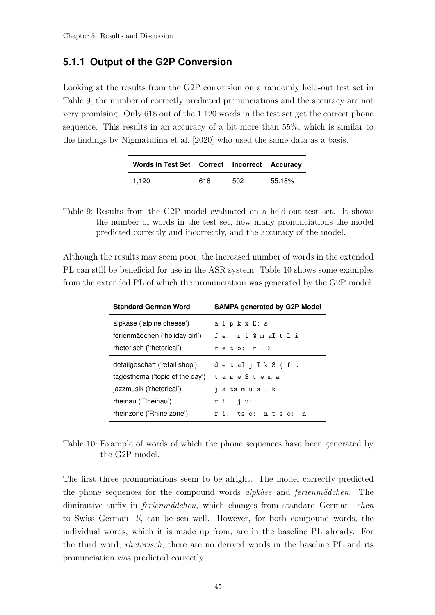### <span id="page-53-0"></span>**5.1.1 Output of the G2P Conversion**

Looking at the results from the G2P conversion on a randomly held-out test set in Table [9,](#page-53-1) the number of correctly predicted pronunciations and the accuracy are not very promising. Only 618 out of the 1,120 words in the test set got the correct phone sequence. This results in an accuracy of a bit more than 55%, which is similar to the findings by [Nigmatulina et al.](#page-66-9) [\[2020\]](#page-66-9) who used the same data as a basis.

| Words in Test Set Correct Incorrect Accuracy |     |      |        |
|----------------------------------------------|-----|------|--------|
| 1.120                                        | 618 | 502. | 55.18% |

<span id="page-53-1"></span>Table 9: Results from the G2P model evaluated on a held-out test set. It shows the number of words in the test set, how many pronunciations the model predicted correctly and incorrectly, and the accuracy of the model.

Although the results may seem poor, the increased number of words in the extended PL can still be beneficial for use in the ASR system. Table [10](#page-53-2) shows some examples from the extended PL of which the pronunciation was generated by the G2P model.

| <b>Standard German Word</b>     | <b>SAMPA generated by G2P Model</b> |
|---------------------------------|-------------------------------------|
| alpkäse ('alpine cheese')       | alpkxE: s                           |
| ferienmädchen ('holiday girl')  | fe: ri @ m aI t l i                 |
| rhetorisch ('rhetorical')       | reto: rIS                           |
| detailgeschäft ('retail shop')  | detaIjIkS { f t                     |
| tagesthema ('topic of the day') | tageStema                           |
| jazzmusik ('rhetorical')        | jatsmus I k                         |
| rheinau ('Rheinau')             | $r$ i: $j$ u:                       |
| rheinzone ('Rhine zone')        | ri: tso: ntso: n                    |

<span id="page-53-2"></span>Table 10: Example of words of which the phone sequences have been generated by the G2P model.

The first three pronunciations seem to be alright. The model correctly predicted the phone sequences for the compound words *alpkäse* and *ferienmädchen*. The diminutive suffix in *ferienmädchen*, which changes from standard German -chen to Swiss German -li, can be sen well. However, for both compound words, the individual words, which it is made up from, are in the baseline PL already. For the third word, rhetorisch, there are no derived words in the baseline PL and its pronunciation was predicted correctly.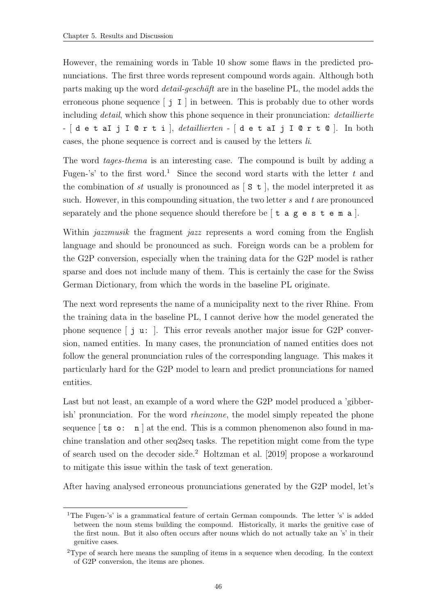However, the remaining words in Table [10](#page-53-2) show some flaws in the predicted pronunciations. The first three words represent compound words again. Although both parts making up the word *detail-geschäft* are in the baseline PL, the model adds the erroneous phone sequence  $\begin{bmatrix} i & I \end{bmatrix}$  in between. This is probably due to other words including *detail*, which show this phone sequence in their pronunciation: *detaillierte* - [d e t aI j I @ r t i ], *detaillierten* - [d e t aI j I @ r t @ ]. In both cases, the phone sequence is correct and is caused by the letters li.

The word tages-thema is an interesting case. The compound is built by adding a Fugen-'s' to the first word.<sup>1</sup> Since the second word starts with the letter t and the combination of st usually is pronounced as  $\lceil S \cdot t \rceil$ , the model interpreted it as such. However, in this compounding situation, the two letter  $s$  and  $t$  are pronounced separately and the phone sequence should therefore be  $\lceil t \rceil$  a g e s t e m a  $\lceil$ .

Within *jazzmusik* the fragment *jazz* represents a word coming from the English language and should be pronounced as such. Foreign words can be a problem for the G2P conversion, especially when the training data for the G2P model is rather sparse and does not include many of them. This is certainly the case for the Swiss German Dictionary, from which the words in the baseline PL originate.

The next word represents the name of a municipality next to the river Rhine. From the training data in the baseline PL, I cannot derive how the model generated the phone sequence [ j u: ]. This error reveals another major issue for G2P conversion, named entities. In many cases, the pronunciation of named entities does not follow the general pronunciation rules of the corresponding language. This makes it particularly hard for the G2P model to learn and predict pronunciations for named entities.

Last but not least, an example of a word where the G2P model produced a 'gibberish' pronunciation. For the word rheinzone, the model simply repeated the phone sequence  $\lceil$  ts o: n  $\rceil$  at the end. This is a common phenomenon also found in machine translation and other seq2seq tasks. The repetition might come from the type of search used on the decoder side.<sup>2</sup> [Holtzman et al.](#page-65-9) [\[2019\]](#page-65-9) propose a workaround to mitigate this issue within the task of text generation.

After having analysed erroneous pronunciations generated by the G2P model, let's

<sup>&</sup>lt;sup>1</sup>The Fugen-'s' is a grammatical feature of certain German compounds. The letter 's' is added between the noun stems building the compound. Historically, it marks the genitive case of the first noun. But it also often occurs after nouns which do not actually take an 's' in their genitive cases.

<sup>2</sup>Type of search here means the sampling of items in a sequence when decoding. In the context of G2P conversion, the items are phones.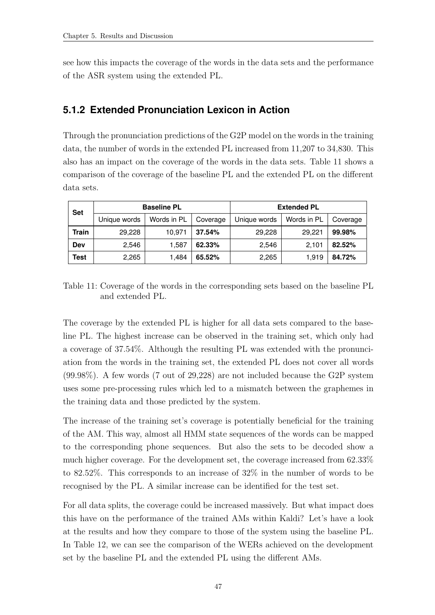see how this impacts the coverage of the words in the data sets and the performance of the ASR system using the extended PL.

#### <span id="page-55-0"></span>**5.1.2 Extended Pronunciation Lexicon in Action**

Through the pronunciation predictions of the G2P model on the words in the training data, the number of words in the extended PL increased from 11,207 to 34,830. This also has an impact on the coverage of the words in the data sets. Table [11](#page-55-1) shows a comparison of the coverage of the baseline PL and the extended PL on the different data sets.

| <b>Set</b> | <b>Baseline PL</b>          |        |          | <b>Extended PL</b> |             |          |
|------------|-----------------------------|--------|----------|--------------------|-------------|----------|
|            | Words in PL<br>Unique words |        | Coverage | Unique words       | Words in PL | Coverage |
| Train      | 29,228                      | 10.971 | 37.54%   | 29,228             | 29.221      | 99.98%   |
| Dev        | 2,546                       | 1,587  | 62.33%   | 2,546              | 2,101       | 82.52%   |
| Test       | 2,265                       | 1.484  | 65.52%   | 2,265              | 1.919       | 84.72%   |

<span id="page-55-1"></span>Table 11: Coverage of the words in the corresponding sets based on the baseline PL and extended PL.

The coverage by the extended PL is higher for all data sets compared to the baseline PL. The highest increase can be observed in the training set, which only had a coverage of 37.54%. Although the resulting PL was extended with the pronunciation from the words in the training set, the extended PL does not cover all words (99.98%). A few words (7 out of 29,228) are not included because the G2P system uses some pre-processing rules which led to a mismatch between the graphemes in the training data and those predicted by the system.

The increase of the training set's coverage is potentially beneficial for the training of the AM. This way, almost all HMM state sequences of the words can be mapped to the corresponding phone sequences. But also the sets to be decoded show a much higher coverage. For the development set, the coverage increased from 62.33% to 82.52%. This corresponds to an increase of 32% in the number of words to be recognised by the PL. A similar increase can be identified for the test set.

For all data splits, the coverage could be increased massively. But what impact does this have on the performance of the trained AMs within Kaldi? Let's have a look at the results and how they compare to those of the system using the baseline PL. In Table [12,](#page-56-1) we can see the comparison of the WERs achieved on the development set by the baseline PL and the extended PL using the different AMs.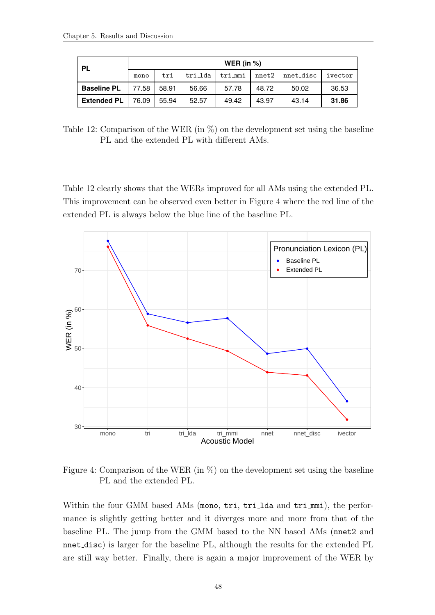| <b>PL</b>          | WER (in $%$ ) |       |         |         |       |           |         |  |  |
|--------------------|---------------|-------|---------|---------|-------|-----------|---------|--|--|
|                    | mono          | tri   | tri_lda | tri_mmi | nnet2 | nnet_disc | ivector |  |  |
| <b>Baseline PL</b> | 77.58         | 58.91 | 56.66   | 57.78   | 48.72 | 50.02     | 36.53   |  |  |
| <b>Extended PL</b> | 76.09         | 55.94 | 52.57   | 49.42   | 43.97 | 43.14     | 31.86   |  |  |

<span id="page-56-1"></span>Table 12: Comparison of the WER (in %) on the development set using the baseline PL and the extended PL with different AMs.

Table [12](#page-56-1) clearly shows that the WERs improved for all AMs using the extended PL. This improvement can be observed even better in Figure [4](#page-56-0) where the red line of the extended PL is always below the blue line of the baseline PL.



<span id="page-56-0"></span>Figure 4: Comparison of the WER (in %) on the development set using the baseline PL and the extended PL.

Within the four GMM based AMs (mono, tri, tri\_1da and tri\_mmi), the performance is slightly getting better and it diverges more and more from that of the baseline PL. The jump from the GMM based to the NN based AMs (nnet2 and nnet disc) is larger for the baseline PL, although the results for the extended PL are still way better. Finally, there is again a major improvement of the WER by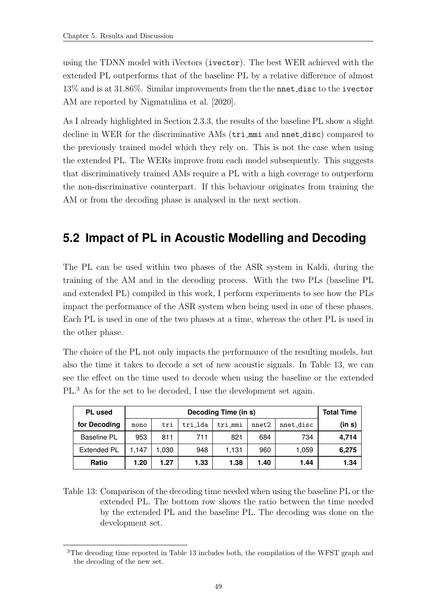using the TDNN model with iVectors (ivector). The best WER achieved with the extended PL outperforms that of the baseline PL by a relative difference of almost 13% and is at 31.86%. Similar improvements from the the nnet disc to the ivector AM are reported by [Nigmatulina et al.](#page-66-9) [\[2020\]](#page-66-9).

As I already highlighted in Section [2.3.3,](#page-33-0) the results of the baseline PL show a slight decline in WER for the discriminative AMs (tri mmi and nnet disc) compared to the previously trained model which they rely on. This is not the case when using the extended PL. The WERs improve from each model subsequently. This suggests that discriminatively trained AMs require a PL with a high coverage to outperform the non-discriminative counterpart. If this behaviour originates from training the AM or from the decoding phase is analysed in the next section.

## <span id="page-57-0"></span>**5.2 Impact of PL in Acoustic Modelling and Decoding**

The PL can be used within two phases of the ASR system in Kaldi, during the training of the AM and in the decoding process. With the two PLs (baseline PL and extended PL) compiled in this work, I perform experiments to see how the PLs impact the performance of the ASR system when being used in one of these phases. Each PL is used in one of the two phases at a time, whereas the other PL is used in the other phase.

The choice of the PL not only impacts the performance of the resulting models, but also the time it takes to decode a set of new acoustic signals. In Table [13,](#page-57-1) we can see the effect on the time used to decode when using the baseline or the extended PL.<sup>3</sup> As for the set to be decoded, I use the development set again.

| <b>PL</b> used     |       | <b>Total Time</b> |         |         |       |           |        |
|--------------------|-------|-------------------|---------|---------|-------|-----------|--------|
| for Decoding       | mono  | tri               | tri 1da | tri mmi | nnet2 | nnet disc | (in s) |
| <b>Baseline PL</b> | 953   | 811               | 711     | 821     | 684   | 734       | 4,714  |
| <b>Extended PL</b> | 1.147 | 1,030             | 948     | 1,131   | 960   | 1,059     | 6,275  |
| Ratio              | 1.20  | 1.27              | 1.33    | 1.38    | 1.40  | 1.44      | 1.34   |

<span id="page-57-1"></span>Table 13: Comparison of the decoding time needed when using the baseline PL or the extended PL. The bottom row shows the ratio between the time needed by the extended PL and the baseline PL. The decoding was done on the development set.

<sup>&</sup>lt;sup>3</sup>The decoding time reported in Table [13](#page-57-1) includes both, the compilation of the WFST graph and the decoding of the new set.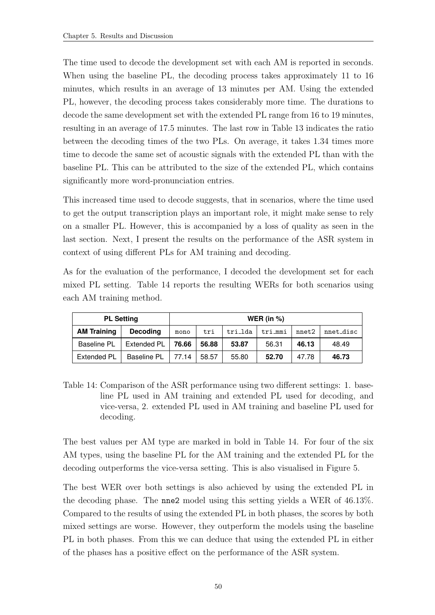The time used to decode the development set with each AM is reported in seconds. When using the baseline PL, the decoding process takes approximately 11 to 16 minutes, which results in an average of 13 minutes per AM. Using the extended PL, however, the decoding process takes considerably more time. The durations to decode the same development set with the extended PL range from 16 to 19 minutes, resulting in an average of 17.5 minutes. The last row in Table [13](#page-57-1) indicates the ratio between the decoding times of the two PLs. On average, it takes 1.34 times more time to decode the same set of acoustic signals with the extended PL than with the baseline PL. This can be attributed to the size of the extended PL, which contains significantly more word-pronunciation entries.

This increased time used to decode suggests, that in scenarios, where the time used to get the output transcription plays an important role, it might make sense to rely on a smaller PL. However, this is accompanied by a loss of quality as seen in the last section. Next, I present the results on the performance of the ASR system in context of using different PLs for AM training and decoding.

As for the evaluation of the performance, I decoded the development set for each mixed PL setting. Table [14](#page-58-0) reports the resulting WERs for both scenarios using each AM training method.

| <b>PL Setting</b>  | WER (in $%$ )   |       |       |         |         |       |           |
|--------------------|-----------------|-------|-------|---------|---------|-------|-----------|
| <b>AM Training</b> | <b>Decoding</b> | mono  | tri   | tri_lda | tri_mmi | nnet2 | nnet disc |
| <b>Baseline PL</b> | Extended PL     | 76.66 | 56.88 | 53.87   | 56.31   | 46.13 | 48.49     |
| <b>Extended PL</b> | Baseline PL     | 77.14 | 58.57 | 55.80   | 52.70   | 47.78 | 46.73     |

<span id="page-58-0"></span>Table 14: Comparison of the ASR performance using two different settings: 1. baseline PL used in AM training and extended PL used for decoding, and vice-versa, 2. extended PL used in AM training and baseline PL used for decoding.

The best values per AM type are marked in bold in Table [14.](#page-58-0) For four of the six AM types, using the baseline PL for the AM training and the extended PL for the decoding outperforms the vice-versa setting. This is also visualised in Figure [5.](#page-59-1)

The best WER over both settings is also achieved by using the extended PL in the decoding phase. The nne2 model using this setting yields a WER of 46.13%. Compared to the results of using the extended PL in both phases, the scores by both mixed settings are worse. However, they outperform the models using the baseline PL in both phases. From this we can deduce that using the extended PL in either of the phases has a positive effect on the performance of the ASR system.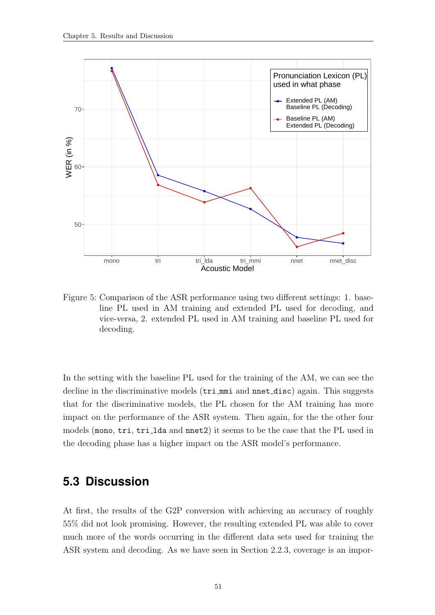

<span id="page-59-1"></span>Figure 5: Comparison of the ASR performance using two different settings: 1. baseline PL used in AM training and extended PL used for decoding, and vice-versa, 2. extended PL used in AM training and baseline PL used for decoding.

In the setting with the baseline PL used for the training of the AM, we can see the decline in the discriminative models (tri\_mmi and nnet\_disc) again. This suggests that for the discriminative models, the PL chosen for the AM training has more impact on the performance of the ASR system. Then again, for the the other four models (mono, tri, tri\_1da and nnet2) it seems to be the case that the PL used in the decoding phase has a higher impact on the ASR model's performance.

### <span id="page-59-0"></span>**5.3 Discussion**

At first, the results of the G2P conversion with achieving an accuracy of roughly 55% did not look promising. However, the resulting extended PL was able to cover much more of the words occurring in the different data sets used for training the ASR system and decoding. As we have seen in Section [2.2.3,](#page-24-0) coverage is an impor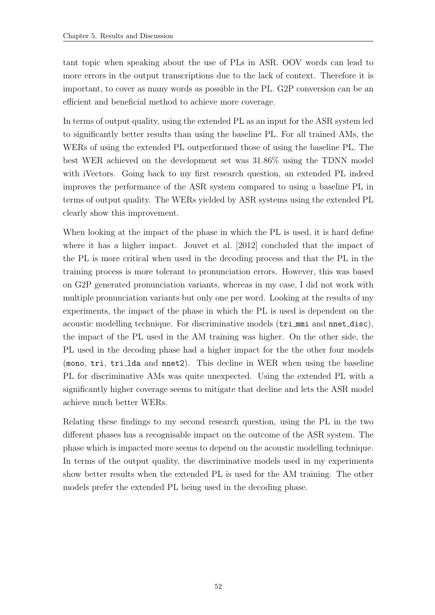tant topic when speaking about the use of PLs in ASR. OOV words can lead to more errors in the output transcriptions due to the lack of context. Therefore it is important, to cover as many words as possible in the PL. G2P conversion can be an efficient and beneficial method to achieve more coverage.

In terms of output quality, using the extended PL as an input for the ASR system led to significantly better results than using the baseline PL. For all trained AMs, the WERs of using the extended PL outperformed those of using the baseline PL. The best WER achieved on the development set was 31.86% using the TDNN model with iVectors. Going back to my first research question, an extended PL indeed improves the performance of the ASR system compared to using a baseline PL in terms of output quality. The WERs yielded by ASR systems using the extended PL clearly show this improvement.

When looking at the impact of the phase in which the PL is used, it is hard define where it has a higher impact. [Jouvet et al.](#page-65-1) [\[2012\]](#page-65-1) concluded that the impact of the PL is more critical when used in the decoding process and that the PL in the training process is more tolerant to pronunciation errors. However, this was based on G2P generated pronunciation variants, whereas in my case, I did not work with multiple pronunciation variants but only one per word. Looking at the results of my experiments, the impact of the phase in which the PL is used is dependent on the acoustic modelling technique. For discriminative models (tri\_mmi and nnet\_disc), the impact of the PL used in the AM training was higher. On the other side, the PL used in the decoding phase had a higher impact for the the other four models (mono, tri, tri lda and nnet2). This decline in WER when using the baseline PL for discriminative AMs was quite unexpected. Using the extended PL with a significantly higher coverage seems to mitigate that decline and lets the ASR model achieve much better WERs.

Relating these findings to my second research question, using the PL in the two different phases has a recognisable impact on the outcome of the ASR system. The phase which is impacted more seems to depend on the acoustic modelling technique. In terms of the output quality, the discriminative models used in my experiments show better results when the extended PL is used for the AM training. The other models prefer the extended PL being used in the decoding phase.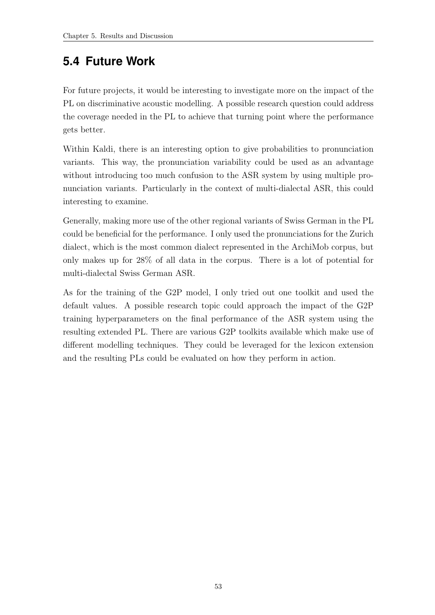## <span id="page-61-0"></span>**5.4 Future Work**

For future projects, it would be interesting to investigate more on the impact of the PL on discriminative acoustic modelling. A possible research question could address the coverage needed in the PL to achieve that turning point where the performance gets better.

Within Kaldi, there is an interesting option to give probabilities to pronunciation variants. This way, the pronunciation variability could be used as an advantage without introducing too much confusion to the ASR system by using multiple pronunciation variants. Particularly in the context of multi-dialectal ASR, this could interesting to examine.

Generally, making more use of the other regional variants of Swiss German in the PL could be beneficial for the performance. I only used the pronunciations for the Zurich dialect, which is the most common dialect represented in the ArchiMob corpus, but only makes up for 28% of all data in the corpus. There is a lot of potential for multi-dialectal Swiss German ASR.

As for the training of the G2P model, I only tried out one toolkit and used the default values. A possible research topic could approach the impact of the G2P training hyperparameters on the final performance of the ASR system using the resulting extended PL. There are various G2P toolkits available which make use of different modelling techniques. They could be leveraged for the lexicon extension and the resulting PLs could be evaluated on how they perform in action.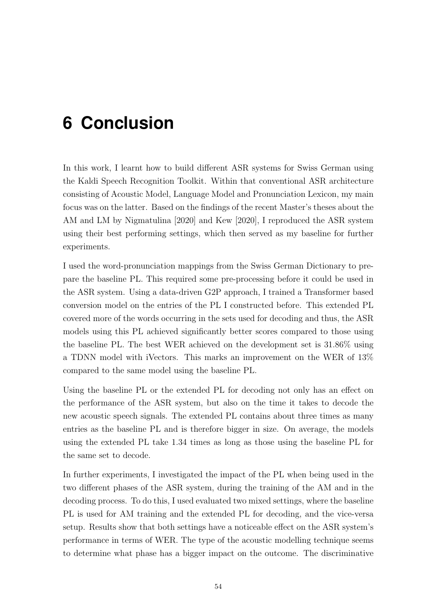# <span id="page-62-0"></span>**6 Conclusion**

In this work, I learnt how to build different ASR systems for Swiss German using the Kaldi Speech Recognition Toolkit. Within that conventional ASR architecture consisting of Acoustic Model, Language Model and Pronunciation Lexicon, my main focus was on the latter. Based on the findings of the recent Master's theses about the AM and LM by [Nigmatulina](#page-66-0) [\[2020\]](#page-66-0) and [Kew](#page-65-0) [\[2020\]](#page-65-0), I reproduced the ASR system using their best performing settings, which then served as my baseline for further experiments.

I used the word-pronunciation mappings from the Swiss German Dictionary to prepare the baseline PL. This required some pre-processing before it could be used in the ASR system. Using a data-driven G2P approach, I trained a Transformer based conversion model on the entries of the PL I constructed before. This extended PL covered more of the words occurring in the sets used for decoding and thus, the ASR models using this PL achieved significantly better scores compared to those using the baseline PL. The best WER achieved on the development set is 31.86% using a TDNN model with iVectors. This marks an improvement on the WER of 13% compared to the same model using the baseline PL.

Using the baseline PL or the extended PL for decoding not only has an effect on the performance of the ASR system, but also on the time it takes to decode the new acoustic speech signals. The extended PL contains about three times as many entries as the baseline PL and is therefore bigger in size. On average, the models using the extended PL take 1.34 times as long as those using the baseline PL for the same set to decode.

In further experiments, I investigated the impact of the PL when being used in the two different phases of the ASR system, during the training of the AM and in the decoding process. To do this, I used evaluated two mixed settings, where the baseline PL is used for AM training and the extended PL for decoding, and the vice-versa setup. Results show that both settings have a noticeable effect on the ASR system's performance in terms of WER. The type of the acoustic modelling technique seems to determine what phase has a bigger impact on the outcome. The discriminative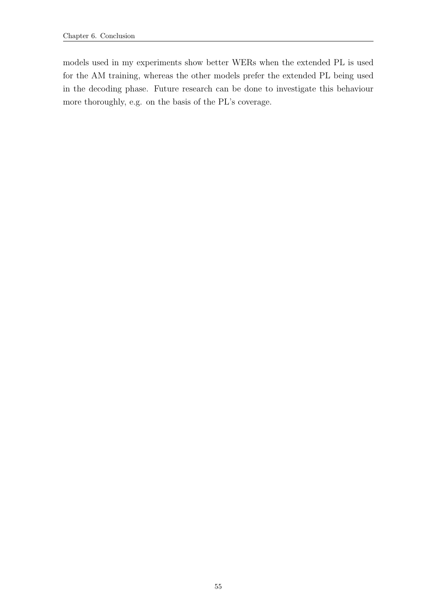models used in my experiments show better WERs when the extended PL is used for the AM training, whereas the other models prefer the extended PL being used in the decoding phase. Future research can be done to investigate this behaviour more thoroughly, e.g. on the basis of the PL's coverage.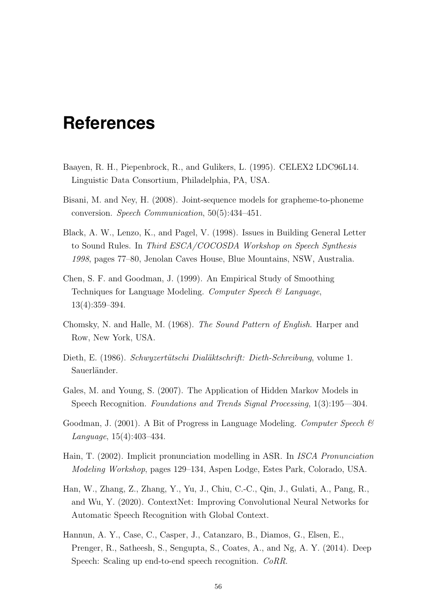## <span id="page-64-0"></span>**References**

- <span id="page-64-4"></span>Baayen, R. H., Piepenbrock, R., and Gulikers, L. (1995). CELEX2 LDC96L14. Linguistic Data Consortium, Philadelphia, PA, USA.
- <span id="page-64-10"></span>Bisani, M. and Ney, H. (2008). Joint-sequence models for grapheme-to-phoneme conversion. Speech Communication, 50(5):434–451.
- <span id="page-64-8"></span>Black, A. W., Lenzo, K., and Pagel, V. (1998). Issues in Building General Letter to Sound Rules. In Third ESCA/COCOSDA Workshop on Speech Synthesis 1998, pages 77–80, Jenolan Caves House, Blue Mountains, NSW, Australia.
- <span id="page-64-9"></span>Chen, S. F. and Goodman, J. (1999). An Empirical Study of Smoothing Techniques for Language Modeling. Computer Speech & Language, 13(4):359–394.
- <span id="page-64-7"></span>Chomsky, N. and Halle, M. (1968). The Sound Pattern of English. Harper and Row, New York, USA.
- <span id="page-64-5"></span>Dieth, E. (1986). Schwyzertütschi Dialäktschrift: Dieth-Schreibung, volume 1. Sauerländer.
- <span id="page-64-2"></span>Gales, M. and Young, S. (2007). The Application of Hidden Markov Models in Speech Recognition. Foundations and Trends Signal Processing, 1(3):195––304.
- <span id="page-64-11"></span>Goodman, J. (2001). A Bit of Progress in Language Modeling. Computer Speech & Language, 15(4):403–434.
- <span id="page-64-6"></span>Hain, T. (2002). Implicit pronunciation modelling in ASR. In ISCA Pronunciation Modeling Workshop, pages 129–134, Aspen Lodge, Estes Park, Colorado, USA.
- <span id="page-64-1"></span>Han, W., Zhang, Z., Zhang, Y., Yu, J., Chiu, C.-C., Qin, J., Gulati, A., Pang, R., and Wu, Y. (2020). ContextNet: Improving Convolutional Neural Networks for Automatic Speech Recognition with Global Context.
- <span id="page-64-3"></span>Hannun, A. Y., Case, C., Casper, J., Catanzaro, B., Diamos, G., Elsen, E., Prenger, R., Satheesh, S., Sengupta, S., Coates, A., and Ng, A. Y. (2014). Deep Speech: Scaling up end-to-end speech recognition. CoRR.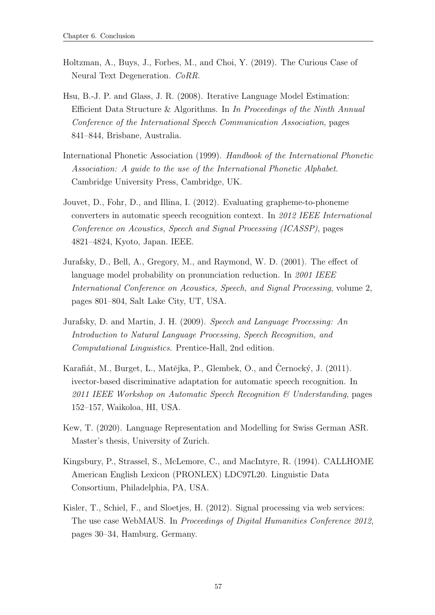- <span id="page-65-9"></span>Holtzman, A., Buys, J., Forbes, M., and Choi, Y. (2019). The Curious Case of Neural Text Degeneration. CoRR.
- <span id="page-65-7"></span>Hsu, B.-J. P. and Glass, J. R. (2008). Iterative Language Model Estimation: Efficient Data Structure & Algorithms. In In Proceedings of the Ninth Annual Conference of the International Speech Communication Association, pages 841–844, Brisbane, Australia.
- <span id="page-65-3"></span>International Phonetic Association (1999). Handbook of the International Phonetic Association: A guide to the use of the International Phonetic Alphabet. Cambridge University Press, Cambridge, UK.
- <span id="page-65-1"></span>Jouvet, D., Fohr, D., and Illina, I. (2012). Evaluating grapheme-to-phoneme converters in automatic speech recognition context. In 2012 IEEE International Conference on Acoustics, Speech and Signal Processing (ICASSP), pages 4821–4824, Kyoto, Japan. IEEE.
- <span id="page-65-5"></span>Jurafsky, D., Bell, A., Gregory, M., and Raymond, W. D. (2001). The effect of language model probability on pronunciation reduction. In 2001 IEEE International Conference on Acoustics, Speech, and Signal Processing, volume 2, pages 801–804, Salt Lake City, UT, USA.
- <span id="page-65-2"></span>Jurafsky, D. and Martin, J. H. (2009). Speech and Language Processing: An Introduction to Natural Language Processing, Speech Recognition, and Computational Linguistics. Prentice-Hall, 2nd edition.
- <span id="page-65-6"></span>Karafiát, M., Burget, L., Matějka, P., Glembek, O., and Cernocký, J. (2011). ivector-based discriminative adaptation for automatic speech recognition. In 2011 IEEE Workshop on Automatic Speech Recognition  $\mathcal C$  Understanding, pages 152–157, Waikoloa, HI, USA.
- <span id="page-65-0"></span>Kew, T. (2020). Language Representation and Modelling for Swiss German ASR. Master's thesis, University of Zurich.
- <span id="page-65-4"></span>Kingsbury, P., Strassel, S., McLemore, C., and MacIntyre, R. (1994). CALLHOME American English Lexicon (PRONLEX) LDC97L20. Linguistic Data Consortium, Philadelphia, PA, USA.
- <span id="page-65-8"></span>Kisler, T., Schiel, F., and Sloetjes, H. (2012). Signal processing via web services: The use case WebMAUS. In Proceedings of Digital Humanities Conference 2012, pages 30–34, Hamburg, Germany.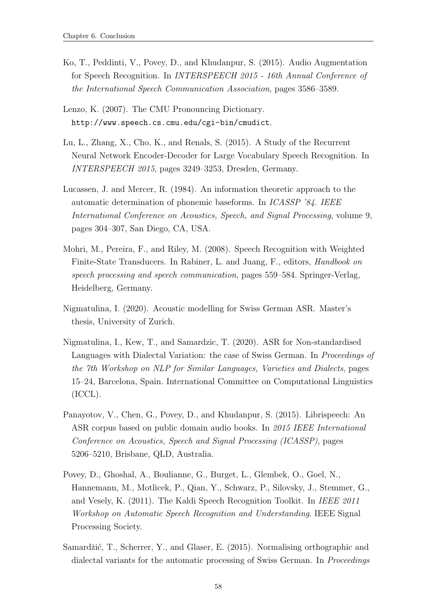- <span id="page-66-5"></span>Ko, T., Peddinti, V., Povey, D., and Khudanpur, S. (2015). Audio Augmentation for Speech Recognition. In INTERSPEECH 2015 - 16th Annual Conference of the International Speech Communication Association, pages 3586–3589.
- <span id="page-66-2"></span>Lenzo, K. (2007). The CMU Pronouncing Dictionary. <http://www.speech.cs.cmu.edu/cgi-bin/cmudict>.
- <span id="page-66-3"></span>Lu, L., Zhang, X., Cho, K., and Renals, S. (2015). A Study of the Recurrent Neural Network Encoder-Decoder for Large Vocabulary Speech Recognition. In INTERSPEECH 2015, pages 3249–3253, Dresden, Germany.
- <span id="page-66-4"></span>Lucassen, J. and Mercer, R. (1984). An information theoretic approach to the automatic determination of phonemic baseforms. In ICASSP '84. IEEE International Conference on Acoustics, Speech, and Signal Processing, volume 9, pages 304–307, San Diego, CA, USA.
- <span id="page-66-8"></span>Mohri, M., Pereira, F., and Riley, M. (2008). Speech Recognition with Weighted Finite-State Transducers. In Rabiner, L. and Juang, F., editors, Handbook on speech processing and speech communication, pages 559–584. Springer-Verlag, Heidelberg, Germany.
- <span id="page-66-0"></span>Nigmatulina, I. (2020). Acoustic modelling for Swiss German ASR. Master's thesis, University of Zurich.
- <span id="page-66-9"></span>Nigmatulina, I., Kew, T., and Samardzic, T. (2020). ASR for Non-standardised Languages with Dialectal Variation: the case of Swiss German. In Proceedings of the 7th Workshop on NLP for Similar Languages, Varieties and Dialects, pages 15–24, Barcelona, Spain. International Committee on Computational Linguistics (ICCL).
- <span id="page-66-1"></span>Panayotov, V., Chen, G., Povey, D., and Khudanpur, S. (2015). Librispeech: An ASR corpus based on public domain audio books. In 2015 IEEE International Conference on Acoustics, Speech and Signal Processing (ICASSP), pages 5206–5210, Brisbane, QLD, Australia.
- <span id="page-66-7"></span>Povey, D., Ghoshal, A., Boulianne, G., Burget, L., Glembek, O., Goel, N., Hannemann, M., Motlicek, P., Qian, Y., Schwarz, P., Silovsky, J., Stemmer, G., and Vesely, K. (2011). The Kaldi Speech Recognition Toolkit. In IEEE 2011 Workshop on Automatic Speech Recognition and Understanding. IEEE Signal Processing Society.
- <span id="page-66-6"></span>Samardžić, T., Scherrer, Y., and Glaser, E. (2015). Normalising orthographic and dialectal variants for the automatic processing of Swiss German. In *Proceedings*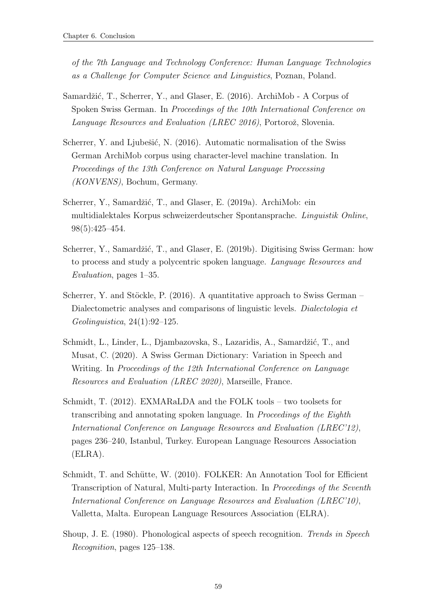of the 7th Language and Technology Conference: Human Language Technologies as a Challenge for Computer Science and Linguistics, Poznan, Poland.

- <span id="page-67-1"></span>Samardžić, T., Scherrer, Y., and Glaser, E. (2016). ArchiMob - A Corpus of Spoken Swiss German. In Proceedings of the 10th International Conference on Language Resources and Evaluation (LREC 2016), Portorož, Slovenia.
- <span id="page-67-6"></span>Scherrer, Y. and Ljubešić, N.  $(2016)$ . Automatic normalisation of the Swiss German ArchiMob corpus using character-level machine translation. In Proceedings of the 13th Conference on Natural Language Processing (KONVENS), Bochum, Germany.
- <span id="page-67-4"></span>Scherrer, Y., Samardžić, T., and Glaser, E. (2019a). ArchiMob: ein multidialektales Korpus schweizerdeutscher Spontansprache. Linguistik Online, 98(5):425–454.
- <span id="page-67-5"></span>Scherrer, Y., Samardžić, T., and Glaser, E. (2019b). Digitising Swiss German: how to process and study a polycentric spoken language. Language Resources and Evaluation, pages 1–35.
- <span id="page-67-8"></span>Scherrer, Y. and Stöckle, P. (2016). A quantitative approach to Swiss German – Dialectometric analyses and comparisons of linguistic levels. Dialectologia et Geolinguistica, 24(1):92–125.
- <span id="page-67-7"></span>Schmidt, L., Linder, L., Djambazovska, S., Lazaridis, A., Samardžić, T., and Musat, C. (2020). A Swiss German Dictionary: Variation in Speech and Writing. In Proceedings of the 12th International Conference on Language Resources and Evaluation (LREC 2020), Marseille, France.
- <span id="page-67-3"></span>Schmidt, T. (2012). EXMARaLDA and the FOLK tools – two toolsets for transcribing and annotating spoken language. In Proceedings of the Eighth International Conference on Language Resources and Evaluation (LREC'12), pages 236–240, Istanbul, Turkey. European Language Resources Association (ELRA).
- <span id="page-67-2"></span>Schmidt, T. and Schütte, W. (2010). FOLKER: An Annotation Tool for Efficient Transcription of Natural, Multi-party Interaction. In Proceedings of the Seventh International Conference on Language Resources and Evaluation (LREC'10), Valletta, Malta. European Language Resources Association (ELRA).
- <span id="page-67-0"></span>Shoup, J. E. (1980). Phonological aspects of speech recognition. Trends in Speech Recognition, pages 125–138.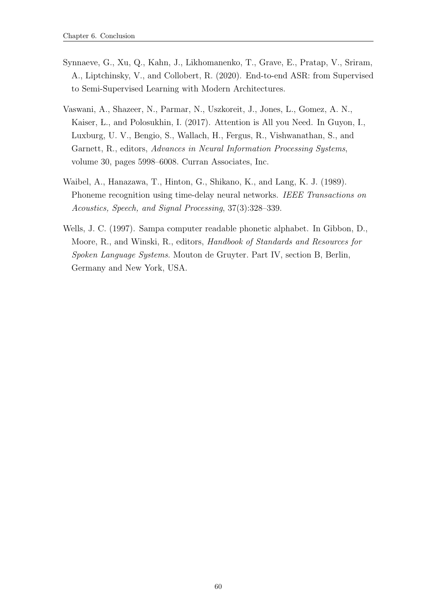- <span id="page-68-0"></span>Synnaeve, G., Xu, Q., Kahn, J., Likhomanenko, T., Grave, E., Pratap, V., Sriram, A., Liptchinsky, V., and Collobert, R. (2020). End-to-end ASR: from Supervised to Semi-Supervised Learning with Modern Architectures.
- <span id="page-68-2"></span>Vaswani, A., Shazeer, N., Parmar, N., Uszkoreit, J., Jones, L., Gomez, A. N., Kaiser, L., and Polosukhin, I. (2017). Attention is All you Need. In Guyon, I., Luxburg, U. V., Bengio, S., Wallach, H., Fergus, R., Vishwanathan, S., and Garnett, R., editors, Advances in Neural Information Processing Systems, volume 30, pages 5998–6008. Curran Associates, Inc.
- <span id="page-68-3"></span>Waibel, A., Hanazawa, T., Hinton, G., Shikano, K., and Lang, K. J. (1989). Phoneme recognition using time-delay neural networks. IEEE Transactions on Acoustics, Speech, and Signal Processing, 37(3):328–339.
- <span id="page-68-1"></span>Wells, J. C. (1997). Sampa computer readable phonetic alphabet. In Gibbon, D., Moore, R., and Winski, R., editors, Handbook of Standards and Resources for Spoken Language Systems. Mouton de Gruyter. Part IV, section B, Berlin, Germany and New York, USA.